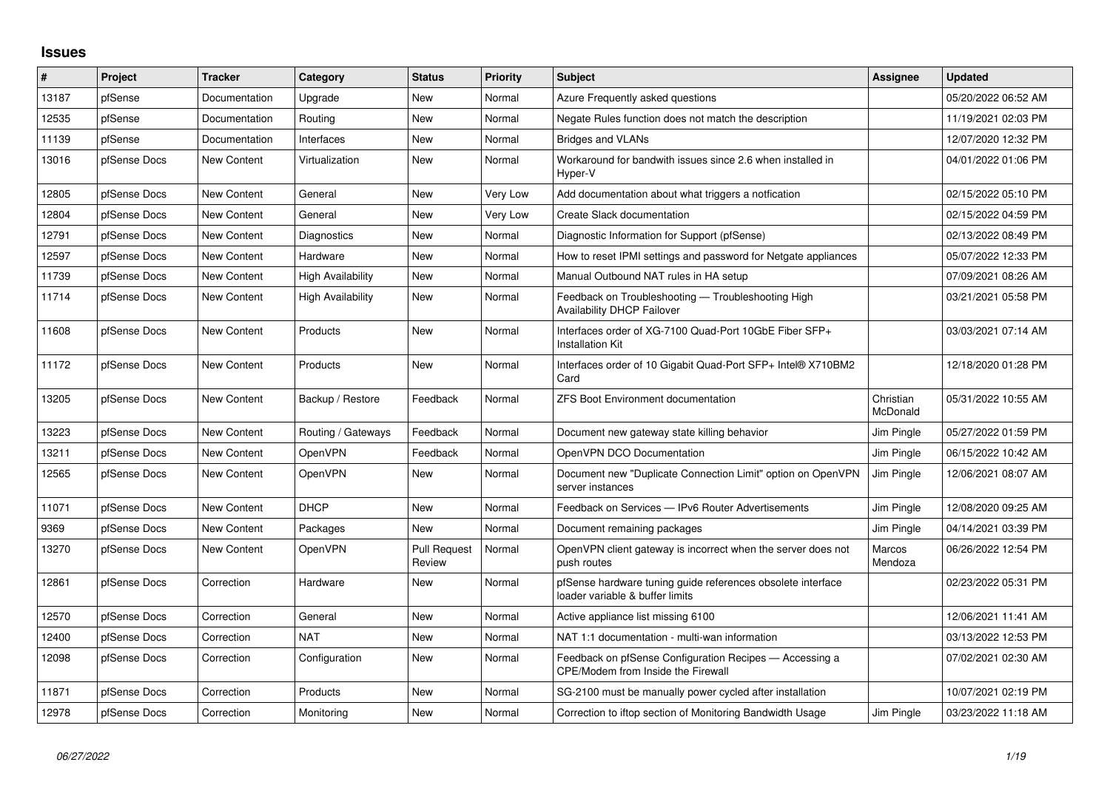## **Issues**

| $\pmb{\#}$ | <b>Project</b> | <b>Tracker</b> | Category                 | <b>Status</b>                 | <b>Priority</b> | <b>Subject</b>                                                                                 | Assignee              | <b>Updated</b>      |
|------------|----------------|----------------|--------------------------|-------------------------------|-----------------|------------------------------------------------------------------------------------------------|-----------------------|---------------------|
| 13187      | pfSense        | Documentation  | Upgrade                  | New                           | Normal          | Azure Frequently asked questions                                                               |                       | 05/20/2022 06:52 AM |
| 12535      | pfSense        | Documentation  | Routing                  | <b>New</b>                    | Normal          | Negate Rules function does not match the description                                           |                       | 11/19/2021 02:03 PM |
| 11139      | pfSense        | Documentation  | Interfaces               | New                           | Normal          | <b>Bridges and VLANs</b>                                                                       |                       | 12/07/2020 12:32 PM |
| 13016      | pfSense Docs   | New Content    | Virtualization           | New                           | Normal          | Workaround for bandwith issues since 2.6 when installed in<br>Hyper-V                          |                       | 04/01/2022 01:06 PM |
| 12805      | pfSense Docs   | New Content    | General                  | New                           | Very Low        | Add documentation about what triggers a notfication                                            |                       | 02/15/2022 05:10 PM |
| 12804      | pfSense Docs   | New Content    | General                  | <b>New</b>                    | Very Low        | Create Slack documentation                                                                     |                       | 02/15/2022 04:59 PM |
| 12791      | pfSense Docs   | New Content    | <b>Diagnostics</b>       | New                           | Normal          | Diagnostic Information for Support (pfSense)                                                   |                       | 02/13/2022 08:49 PM |
| 12597      | pfSense Docs   | New Content    | Hardware                 | New                           | Normal          | How to reset IPMI settings and password for Netgate appliances                                 |                       | 05/07/2022 12:33 PM |
| 11739      | pfSense Docs   | New Content    | <b>High Availability</b> | New                           | Normal          | Manual Outbound NAT rules in HA setup                                                          |                       | 07/09/2021 08:26 AM |
| 11714      | pfSense Docs   | New Content    | <b>High Availability</b> | New                           | Normal          | Feedback on Troubleshooting - Troubleshooting High<br>Availability DHCP Failover               |                       | 03/21/2021 05:58 PM |
| 11608      | pfSense Docs   | New Content    | Products                 | <b>New</b>                    | Normal          | Interfaces order of XG-7100 Quad-Port 10GbE Fiber SFP+<br><b>Installation Kit</b>              |                       | 03/03/2021 07:14 AM |
| 11172      | pfSense Docs   | New Content    | Products                 | New                           | Normal          | Interfaces order of 10 Gigabit Quad-Port SFP+ Intel® X710BM2<br>Card                           |                       | 12/18/2020 01:28 PM |
| 13205      | pfSense Docs   | New Content    | Backup / Restore         | Feedback                      | Normal          | <b>ZFS Boot Environment documentation</b>                                                      | Christian<br>McDonald | 05/31/2022 10:55 AM |
| 13223      | pfSense Docs   | New Content    | Routing / Gateways       | Feedback                      | Normal          | Document new gateway state killing behavior                                                    | Jim Pingle            | 05/27/2022 01:59 PM |
| 13211      | pfSense Docs   | New Content    | <b>OpenVPN</b>           | Feedback                      | Normal          | OpenVPN DCO Documentation                                                                      | Jim Pingle            | 06/15/2022 10:42 AM |
| 12565      | pfSense Docs   | New Content    | <b>OpenVPN</b>           | New                           | Normal          | Document new "Duplicate Connection Limit" option on OpenVPN<br>server instances                | Jim Pingle            | 12/06/2021 08:07 AM |
| 11071      | pfSense Docs   | New Content    | <b>DHCP</b>              | <b>New</b>                    | Normal          | Feedback on Services - IPv6 Router Advertisements                                              | Jim Pingle            | 12/08/2020 09:25 AM |
| 9369       | pfSense Docs   | New Content    | Packages                 | New                           | Normal          | Document remaining packages                                                                    | Jim Pingle            | 04/14/2021 03:39 PM |
| 13270      | pfSense Docs   | New Content    | <b>OpenVPN</b>           | <b>Pull Request</b><br>Review | Normal          | OpenVPN client gateway is incorrect when the server does not<br>push routes                    | Marcos<br>Mendoza     | 06/26/2022 12:54 PM |
| 12861      | pfSense Docs   | Correction     | Hardware                 | New                           | Normal          | pfSense hardware tuning guide references obsolete interface<br>loader variable & buffer limits |                       | 02/23/2022 05:31 PM |
| 12570      | pfSense Docs   | Correction     | General                  | New                           | Normal          | Active appliance list missing 6100                                                             |                       | 12/06/2021 11:41 AM |
| 12400      | pfSense Docs   | Correction     | <b>NAT</b>               | New                           | Normal          | NAT 1:1 documentation - multi-wan information                                                  |                       | 03/13/2022 12:53 PM |
| 12098      | pfSense Docs   | Correction     | Configuration            | New                           | Normal          | Feedback on pfSense Configuration Recipes - Accessing a<br>CPE/Modem from Inside the Firewall  |                       | 07/02/2021 02:30 AM |
| 11871      | pfSense Docs   | Correction     | Products                 | New                           | Normal          | SG-2100 must be manually power cycled after installation                                       |                       | 10/07/2021 02:19 PM |
| 12978      | pfSense Docs   | Correction     | Monitoring               | <b>New</b>                    | Normal          | Correction to iftop section of Monitoring Bandwidth Usage                                      | Jim Pinale            | 03/23/2022 11:18 AM |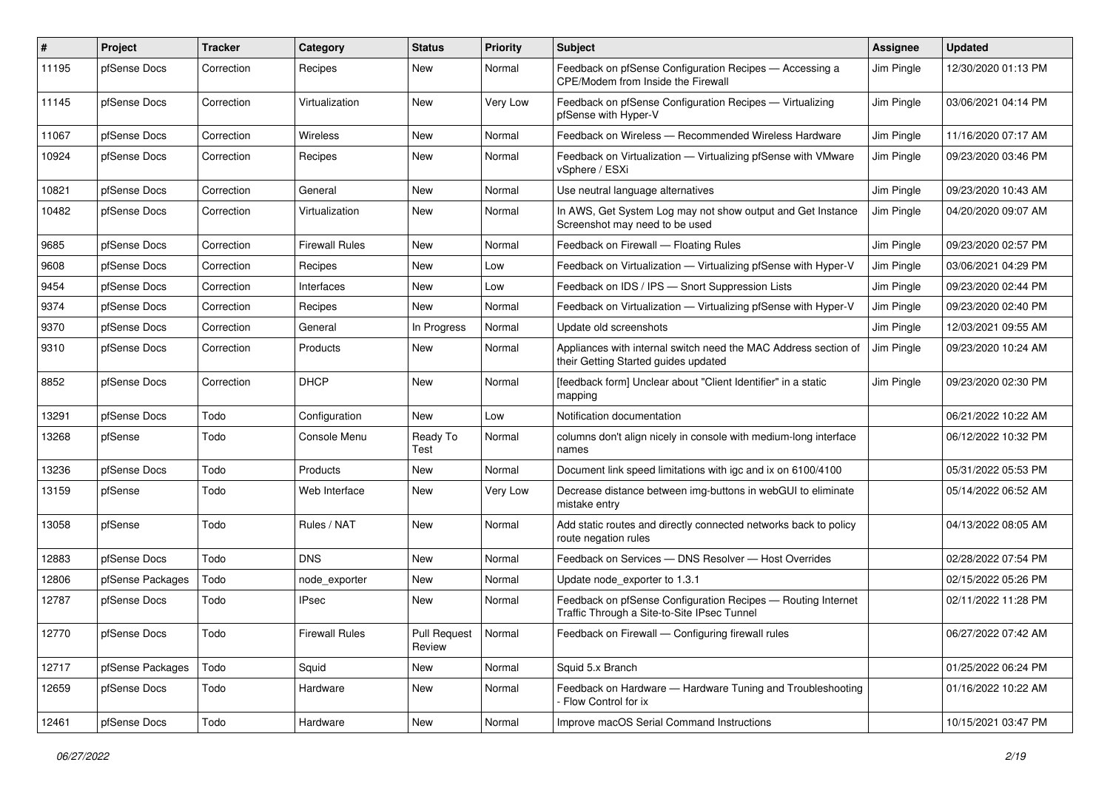| $\pmb{\#}$ | <b>Project</b>   | <b>Tracker</b> | Category              | <b>Status</b>                   | Priority | Subject                                                                                                     | <b>Assignee</b> | <b>Updated</b>      |
|------------|------------------|----------------|-----------------------|---------------------------------|----------|-------------------------------------------------------------------------------------------------------------|-----------------|---------------------|
| 11195      | pfSense Docs     | Correction     | Recipes               | New                             | Normal   | Feedback on pfSense Configuration Recipes - Accessing a<br>CPE/Modem from Inside the Firewall               | Jim Pingle      | 12/30/2020 01:13 PM |
| 11145      | pfSense Docs     | Correction     | Virtualization        | New                             | Very Low | Feedback on pfSense Configuration Recipes - Virtualizing<br>pfSense with Hyper-V                            | Jim Pingle      | 03/06/2021 04:14 PM |
| 11067      | pfSense Docs     | Correction     | Wireless              | <b>New</b>                      | Normal   | Feedback on Wireless - Recommended Wireless Hardware                                                        | Jim Pingle      | 11/16/2020 07:17 AM |
| 10924      | pfSense Docs     | Correction     | Recipes               | New                             | Normal   | Feedback on Virtualization — Virtualizing pfSense with VMware<br>vSphere / ESXi                             | Jim Pingle      | 09/23/2020 03:46 PM |
| 10821      | pfSense Docs     | Correction     | General               | <b>New</b>                      | Normal   | Use neutral language alternatives                                                                           | Jim Pingle      | 09/23/2020 10:43 AM |
| 10482      | pfSense Docs     | Correction     | Virtualization        | New                             | Normal   | In AWS, Get System Log may not show output and Get Instance<br>Screenshot may need to be used               | Jim Pingle      | 04/20/2020 09:07 AM |
| 9685       | pfSense Docs     | Correction     | <b>Firewall Rules</b> | New                             | Normal   | Feedback on Firewall - Floating Rules                                                                       | Jim Pingle      | 09/23/2020 02:57 PM |
| 9608       | pfSense Docs     | Correction     | Recipes               | New                             | Low      | Feedback on Virtualization - Virtualizing pfSense with Hyper-V                                              | Jim Pingle      | 03/06/2021 04:29 PM |
| 9454       | pfSense Docs     | Correction     | Interfaces            | <b>New</b>                      | Low      | Feedback on IDS / IPS - Snort Suppression Lists                                                             | Jim Pingle      | 09/23/2020 02:44 PM |
| 9374       | pfSense Docs     | Correction     | Recipes               | New                             | Normal   | Feedback on Virtualization - Virtualizing pfSense with Hyper-V                                              | Jim Pingle      | 09/23/2020 02:40 PM |
| 9370       | pfSense Docs     | Correction     | General               | In Progress                     | Normal   | Update old screenshots                                                                                      | Jim Pingle      | 12/03/2021 09:55 AM |
| 9310       | pfSense Docs     | Correction     | Products              | New                             | Normal   | Appliances with internal switch need the MAC Address section of<br>their Getting Started guides updated     | Jim Pingle      | 09/23/2020 10:24 AM |
| 8852       | pfSense Docs     | Correction     | <b>DHCP</b>           | <b>New</b>                      | Normal   | [feedback form] Unclear about "Client Identifier" in a static<br>mapping                                    | Jim Pingle      | 09/23/2020 02:30 PM |
| 13291      | pfSense Docs     | Todo           | Configuration         | New                             | Low      | Notification documentation                                                                                  |                 | 06/21/2022 10:22 AM |
| 13268      | pfSense          | Todo           | Console Menu          | Ready To<br>Test                | Normal   | columns don't align nicely in console with medium-long interface<br>names                                   |                 | 06/12/2022 10:32 PM |
| 13236      | pfSense Docs     | Todo           | Products              | New                             | Normal   | Document link speed limitations with igc and ix on 6100/4100                                                |                 | 05/31/2022 05:53 PM |
| 13159      | pfSense          | Todo           | Web Interface         | New                             | Very Low | Decrease distance between img-buttons in webGUI to eliminate<br>mistake entry                               |                 | 05/14/2022 06:52 AM |
| 13058      | pfSense          | Todo           | Rules / NAT           | New                             | Normal   | Add static routes and directly connected networks back to policy<br>route negation rules                    |                 | 04/13/2022 08:05 AM |
| 12883      | pfSense Docs     | Todo           | <b>DNS</b>            | New                             | Normal   | Feedback on Services - DNS Resolver - Host Overrides                                                        |                 | 02/28/2022 07:54 PM |
| 12806      | pfSense Packages | Todo           | node exporter         | New                             | Normal   | Update node exporter to 1.3.1                                                                               |                 | 02/15/2022 05:26 PM |
| 12787      | pfSense Docs     | Todo           | <b>IPsec</b>          | New                             | Normal   | Feedback on pfSense Configuration Recipes - Routing Internet<br>Traffic Through a Site-to-Site IPsec Tunnel |                 | 02/11/2022 11:28 PM |
| 12770      | pfSense Docs     | Todo           | <b>Firewall Rules</b> | Pull Request   Normal<br>Review |          | Feedback on Firewall — Configuring firewall rules                                                           |                 | 06/27/2022 07:42 AM |
| 12717      | pfSense Packages | Todo           | Squid                 | New                             | Normal   | Squid 5.x Branch                                                                                            |                 | 01/25/2022 06:24 PM |
| 12659      | pfSense Docs     | Todo           | Hardware              | New                             | Normal   | Feedback on Hardware - Hardware Tuning and Troubleshooting<br>Flow Control for ix                           |                 | 01/16/2022 10:22 AM |
| 12461      | pfSense Docs     | Todo           | Hardware              | New                             | Normal   | Improve macOS Serial Command Instructions                                                                   |                 | 10/15/2021 03:47 PM |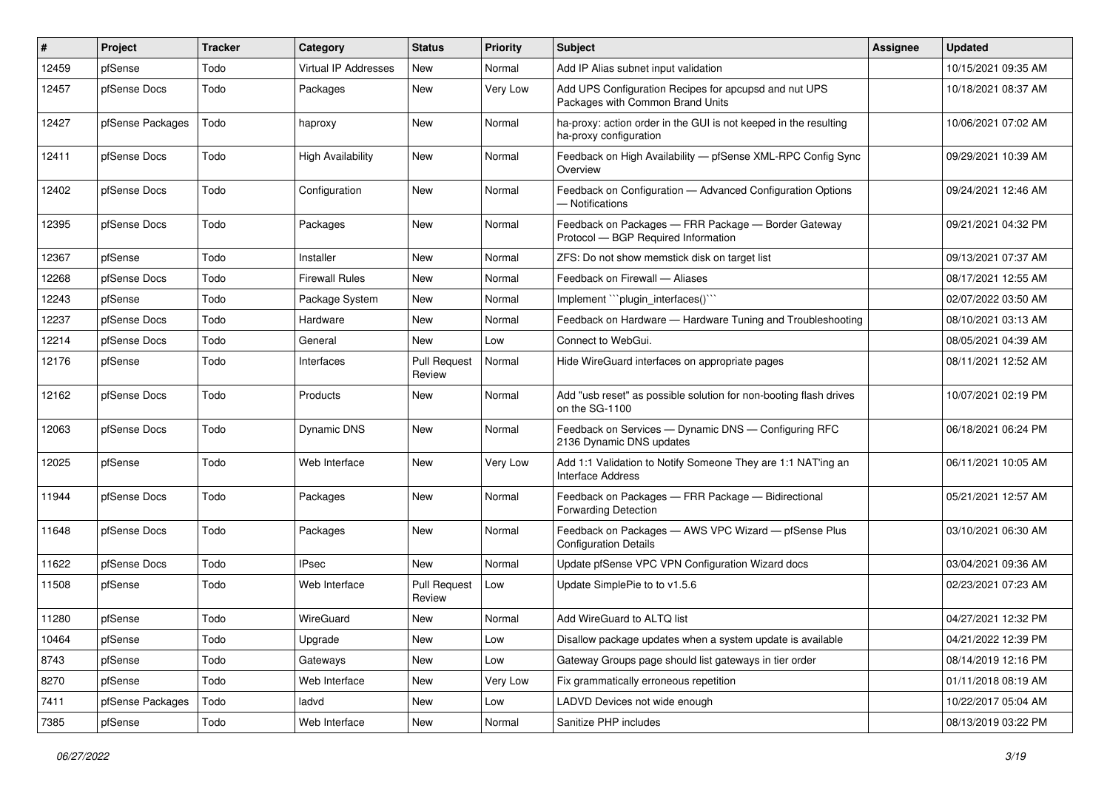| $\vert$ # | Project          | <b>Tracker</b> | Category                 | <b>Status</b>                 | Priority | Subject                                                                                    | <b>Assignee</b> | <b>Updated</b>      |
|-----------|------------------|----------------|--------------------------|-------------------------------|----------|--------------------------------------------------------------------------------------------|-----------------|---------------------|
| 12459     | pfSense          | Todo           | Virtual IP Addresses     | New                           | Normal   | Add IP Alias subnet input validation                                                       |                 | 10/15/2021 09:35 AM |
| 12457     | pfSense Docs     | Todo           | Packages                 | <b>New</b>                    | Very Low | Add UPS Configuration Recipes for apcupsd and nut UPS<br>Packages with Common Brand Units  |                 | 10/18/2021 08:37 AM |
| 12427     | pfSense Packages | Todo           | haproxy                  | <b>New</b>                    | Normal   | ha-proxy: action order in the GUI is not keeped in the resulting<br>ha-proxy configuration |                 | 10/06/2021 07:02 AM |
| 12411     | pfSense Docs     | Todo           | <b>High Availability</b> | <b>New</b>                    | Normal   | Feedback on High Availability - pfSense XML-RPC Config Sync<br>Overview                    |                 | 09/29/2021 10:39 AM |
| 12402     | pfSense Docs     | Todo           | Configuration            | <b>New</b>                    | Normal   | Feedback on Configuration - Advanced Configuration Options<br>- Notifications              |                 | 09/24/2021 12:46 AM |
| 12395     | pfSense Docs     | Todo           | Packages                 | New                           | Normal   | Feedback on Packages - FRR Package - Border Gateway<br>Protocol - BGP Required Information |                 | 09/21/2021 04:32 PM |
| 12367     | pfSense          | Todo           | Installer                | <b>New</b>                    | Normal   | ZFS: Do not show memstick disk on target list                                              |                 | 09/13/2021 07:37 AM |
| 12268     | pfSense Docs     | Todo           | <b>Firewall Rules</b>    | <b>New</b>                    | Normal   | Feedback on Firewall - Aliases                                                             |                 | 08/17/2021 12:55 AM |
| 12243     | pfSense          | Todo           | Package System           | <b>New</b>                    | Normal   | Implement "`plugin interfaces()``                                                          |                 | 02/07/2022 03:50 AM |
| 12237     | pfSense Docs     | Todo           | Hardware                 | <b>New</b>                    | Normal   | Feedback on Hardware - Hardware Tuning and Troubleshooting                                 |                 | 08/10/2021 03:13 AM |
| 12214     | pfSense Docs     | Todo           | General                  | <b>New</b>                    | Low      | Connect to WebGui.                                                                         |                 | 08/05/2021 04:39 AM |
| 12176     | pfSense          | Todo           | Interfaces               | <b>Pull Request</b><br>Review | Normal   | Hide WireGuard interfaces on appropriate pages                                             |                 | 08/11/2021 12:52 AM |
| 12162     | pfSense Docs     | Todo           | Products                 | <b>New</b>                    | Normal   | Add "usb reset" as possible solution for non-booting flash drives<br>on the SG-1100        |                 | 10/07/2021 02:19 PM |
| 12063     | pfSense Docs     | Todo           | <b>Dynamic DNS</b>       | New                           | Normal   | Feedback on Services - Dynamic DNS - Configuring RFC<br>2136 Dynamic DNS updates           |                 | 06/18/2021 06:24 PM |
| 12025     | pfSense          | Todo           | Web Interface            | <b>New</b>                    | Very Low | Add 1:1 Validation to Notify Someone They are 1:1 NAT'ing an<br><b>Interface Address</b>   |                 | 06/11/2021 10:05 AM |
| 11944     | pfSense Docs     | Todo           | Packages                 | <b>New</b>                    | Normal   | Feedback on Packages - FRR Package - Bidirectional<br>Forwarding Detection                 |                 | 05/21/2021 12:57 AM |
| 11648     | pfSense Docs     | Todo           | Packages                 | <b>New</b>                    | Normal   | Feedback on Packages - AWS VPC Wizard - pfSense Plus<br><b>Configuration Details</b>       |                 | 03/10/2021 06:30 AM |
| 11622     | pfSense Docs     | Todo           | <b>IPsec</b>             | <b>New</b>                    | Normal   | Update pfSense VPC VPN Configuration Wizard docs                                           |                 | 03/04/2021 09:36 AM |
| 11508     | pfSense          | Todo           | Web Interface            | <b>Pull Request</b><br>Review | Low      | Update SimplePie to to v1.5.6                                                              |                 | 02/23/2021 07:23 AM |
| 11280     | pfSense          | Todo           | WireGuard                | New                           | Normal   | Add WireGuard to ALTQ list                                                                 |                 | 04/27/2021 12:32 PM |
| 10464     | pfSense          | Todo           | Upgrade                  | New                           | Low      | Disallow package updates when a system update is available                                 |                 | 04/21/2022 12:39 PM |
| 8743      | pfSense          | Todo           | Gateways                 | New                           | Low      | Gateway Groups page should list gateways in tier order                                     |                 | 08/14/2019 12:16 PM |
| 8270      | pfSense          | Todo           | Web Interface            | New                           | Very Low | Fix grammatically erroneous repetition                                                     |                 | 01/11/2018 08:19 AM |
| 7411      | pfSense Packages | Todo           | ladvd                    | New                           | Low      | LADVD Devices not wide enough                                                              |                 | 10/22/2017 05:04 AM |
| 7385      | pfSense          | Todo           | Web Interface            | New                           | Normal   | Sanitize PHP includes                                                                      |                 | 08/13/2019 03:22 PM |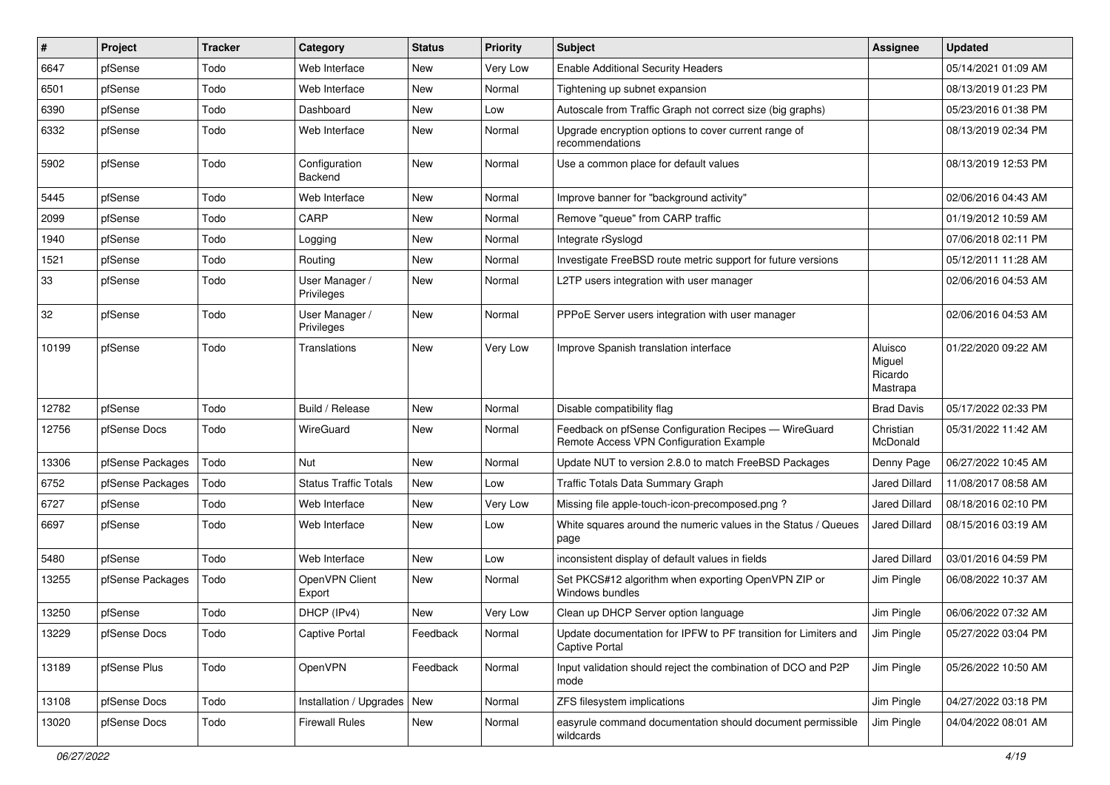| $\#$  | Project          | <b>Tracker</b> | Category                        | <b>Status</b> | <b>Priority</b> | <b>Subject</b>                                                                                   | Assignee                                 | <b>Updated</b>      |
|-------|------------------|----------------|---------------------------------|---------------|-----------------|--------------------------------------------------------------------------------------------------|------------------------------------------|---------------------|
| 6647  | pfSense          | Todo           | Web Interface                   | New           | Very Low        | <b>Enable Additional Security Headers</b>                                                        |                                          | 05/14/2021 01:09 AM |
| 6501  | pfSense          | Todo           | Web Interface                   | <b>New</b>    | Normal          | Tightening up subnet expansion                                                                   |                                          | 08/13/2019 01:23 PM |
| 6390  | pfSense          | Todo           | Dashboard                       | New           | Low             | Autoscale from Traffic Graph not correct size (big graphs)                                       |                                          | 05/23/2016 01:38 PM |
| 6332  | pfSense          | Todo           | Web Interface                   | <b>New</b>    | Normal          | Upgrade encryption options to cover current range of<br>recommendations                          |                                          | 08/13/2019 02:34 PM |
| 5902  | pfSense          | Todo           | Configuration<br><b>Backend</b> | <b>New</b>    | Normal          | Use a common place for default values                                                            |                                          | 08/13/2019 12:53 PM |
| 5445  | pfSense          | Todo           | Web Interface                   | <b>New</b>    | Normal          | Improve banner for "background activity"                                                         |                                          | 02/06/2016 04:43 AM |
| 2099  | pfSense          | Todo           | CARP                            | <b>New</b>    | Normal          | Remove "queue" from CARP traffic                                                                 |                                          | 01/19/2012 10:59 AM |
| 1940  | pfSense          | Todo           | Logging                         | <b>New</b>    | Normal          | Integrate rSyslogd                                                                               |                                          | 07/06/2018 02:11 PM |
| 1521  | pfSense          | Todo           | Routing                         | New           | Normal          | Investigate FreeBSD route metric support for future versions                                     |                                          | 05/12/2011 11:28 AM |
| 33    | pfSense          | Todo           | User Manager /<br>Privileges    | <b>New</b>    | Normal          | L2TP users integration with user manager                                                         |                                          | 02/06/2016 04:53 AM |
| 32    | pfSense          | Todo           | User Manager /<br>Privileges    | <b>New</b>    | Normal          | PPPoE Server users integration with user manager                                                 |                                          | 02/06/2016 04:53 AM |
| 10199 | pfSense          | Todo           | Translations                    | <b>New</b>    | Very Low        | Improve Spanish translation interface                                                            | Aluisco<br>Miguel<br>Ricardo<br>Mastrapa | 01/22/2020 09:22 AM |
| 12782 | pfSense          | Todo           | Build / Release                 | <b>New</b>    | Normal          | Disable compatibility flag                                                                       | <b>Brad Davis</b>                        | 05/17/2022 02:33 PM |
| 12756 | pfSense Docs     | Todo           | WireGuard                       | <b>New</b>    | Normal          | Feedback on pfSense Configuration Recipes - WireGuard<br>Remote Access VPN Configuration Example | Christian<br>McDonald                    | 05/31/2022 11:42 AM |
| 13306 | pfSense Packages | Todo           | Nut                             | <b>New</b>    | Normal          | Update NUT to version 2.8.0 to match FreeBSD Packages                                            | Denny Page                               | 06/27/2022 10:45 AM |
| 6752  | pfSense Packages | Todo           | <b>Status Traffic Totals</b>    | <b>New</b>    | Low             | Traffic Totals Data Summary Graph                                                                | Jared Dillard                            | 11/08/2017 08:58 AM |
| 6727  | pfSense          | Todo           | Web Interface                   | <b>New</b>    | Very Low        | Missing file apple-touch-icon-precomposed.png?                                                   | Jared Dillard                            | 08/18/2016 02:10 PM |
| 6697  | pfSense          | Todo           | Web Interface                   | <b>New</b>    | Low             | White squares around the numeric values in the Status / Queues<br>page                           | Jared Dillard                            | 08/15/2016 03:19 AM |
| 5480  | pfSense          | Todo           | Web Interface                   | <b>New</b>    | Low             | inconsistent display of default values in fields                                                 | Jared Dillard                            | 03/01/2016 04:59 PM |
| 13255 | pfSense Packages | Todo           | OpenVPN Client<br>Export        | New           | Normal          | Set PKCS#12 algorithm when exporting OpenVPN ZIP or<br>Windows bundles                           | Jim Pingle                               | 06/08/2022 10:37 AM |
| 13250 | pfSense          | Todo           | DHCP (IPv4)                     | <b>New</b>    | Very Low        | Clean up DHCP Server option language                                                             | Jim Pingle                               | 06/06/2022 07:32 AM |
| 13229 | pfSense Docs     | Todo           | Captive Portal                  | Feedback      | Normal          | Update documentation for IPFW to PF transition for Limiters and<br><b>Captive Portal</b>         | Jim Pingle                               | 05/27/2022 03:04 PM |
| 13189 | pfSense Plus     | Todo           | OpenVPN                         | Feedback      | Normal          | Input validation should reject the combination of DCO and P2P<br>mode                            | Jim Pingle                               | 05/26/2022 10:50 AM |
| 13108 | pfSense Docs     | Todo           | Installation / Upgrades   New   |               | Normal          | ZFS filesystem implications                                                                      | Jim Pingle                               | 04/27/2022 03:18 PM |
| 13020 | pfSense Docs     | Todo           | <b>Firewall Rules</b>           | New           | Normal          | easyrule command documentation should document permissible<br>wildcards                          | Jim Pingle                               | 04/04/2022 08:01 AM |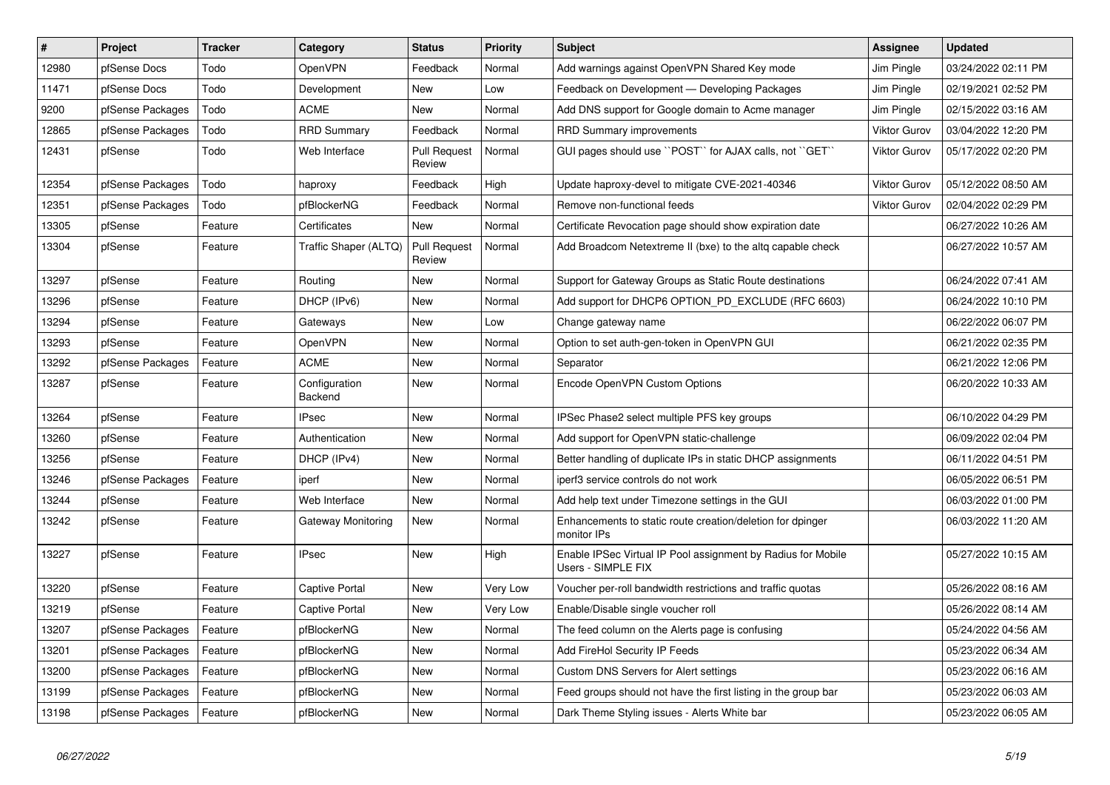| $\vert$ # | <b>Project</b>   | <b>Tracker</b> | Category                 | <b>Status</b>                 | <b>Priority</b> | <b>Subject</b>                                                                     | <b>Assignee</b>     | <b>Updated</b>      |
|-----------|------------------|----------------|--------------------------|-------------------------------|-----------------|------------------------------------------------------------------------------------|---------------------|---------------------|
| 12980     | pfSense Docs     | Todo           | OpenVPN                  | Feedback                      | Normal          | Add warnings against OpenVPN Shared Key mode                                       | Jim Pingle          | 03/24/2022 02:11 PM |
| 11471     | pfSense Docs     | Todo           | Development              | New                           | Low             | Feedback on Development - Developing Packages                                      | Jim Pingle          | 02/19/2021 02:52 PM |
| 9200      | pfSense Packages | Todo           | <b>ACME</b>              | New                           | Normal          | Add DNS support for Google domain to Acme manager                                  | Jim Pingle          | 02/15/2022 03:16 AM |
| 12865     | pfSense Packages | Todo           | <b>RRD Summary</b>       | Feedback                      | Normal          | RRD Summary improvements                                                           | <b>Viktor Gurov</b> | 03/04/2022 12:20 PM |
| 12431     | pfSense          | Todo           | Web Interface            | <b>Pull Request</b><br>Review | Normal          | GUI pages should use "POST" for AJAX calls, not "GET"                              | <b>Viktor Gurov</b> | 05/17/2022 02:20 PM |
| 12354     | pfSense Packages | Todo           | haproxy                  | Feedback                      | High            | Update haproxy-devel to mitigate CVE-2021-40346                                    | <b>Viktor Gurov</b> | 05/12/2022 08:50 AM |
| 12351     | pfSense Packages | Todo           | pfBlockerNG              | Feedback                      | Normal          | Remove non-functional feeds                                                        | <b>Viktor Gurov</b> | 02/04/2022 02:29 PM |
| 13305     | pfSense          | Feature        | Certificates             | <b>New</b>                    | Normal          | Certificate Revocation page should show expiration date                            |                     | 06/27/2022 10:26 AM |
| 13304     | pfSense          | Feature        | Traffic Shaper (ALTQ)    | <b>Pull Request</b><br>Review | Normal          | Add Broadcom Netextreme II (bxe) to the altq capable check                         |                     | 06/27/2022 10:57 AM |
| 13297     | pfSense          | Feature        | Routing                  | <b>New</b>                    | Normal          | Support for Gateway Groups as Static Route destinations                            |                     | 06/24/2022 07:41 AM |
| 13296     | pfSense          | Feature        | DHCP (IPv6)              | New                           | Normal          | Add support for DHCP6 OPTION_PD_EXCLUDE (RFC 6603)                                 |                     | 06/24/2022 10:10 PM |
| 13294     | pfSense          | Feature        | Gateways                 | <b>New</b>                    | Low             | Change gateway name                                                                |                     | 06/22/2022 06:07 PM |
| 13293     | pfSense          | Feature        | <b>OpenVPN</b>           | New                           | Normal          | Option to set auth-gen-token in OpenVPN GUI                                        |                     | 06/21/2022 02:35 PM |
| 13292     | pfSense Packages | Feature        | <b>ACME</b>              | <b>New</b>                    | Normal          | Separator                                                                          |                     | 06/21/2022 12:06 PM |
| 13287     | pfSense          | Feature        | Configuration<br>Backend | <b>New</b>                    | Normal          | Encode OpenVPN Custom Options                                                      |                     | 06/20/2022 10:33 AM |
| 13264     | pfSense          | Feature        | <b>IPsec</b>             | <b>New</b>                    | Normal          | IPSec Phase2 select multiple PFS key groups                                        |                     | 06/10/2022 04:29 PM |
| 13260     | pfSense          | Feature        | Authentication           | New                           | Normal          | Add support for OpenVPN static-challenge                                           |                     | 06/09/2022 02:04 PM |
| 13256     | pfSense          | Feature        | DHCP (IPv4)              | New                           | Normal          | Better handling of duplicate IPs in static DHCP assignments                        |                     | 06/11/2022 04:51 PM |
| 13246     | pfSense Packages | Feature        | iperf                    | New                           | Normal          | iperf3 service controls do not work                                                |                     | 06/05/2022 06:51 PM |
| 13244     | pfSense          | Feature        | Web Interface            | <b>New</b>                    | Normal          | Add help text under Timezone settings in the GUI                                   |                     | 06/03/2022 01:00 PM |
| 13242     | pfSense          | Feature        | Gateway Monitoring       | New                           | Normal          | Enhancements to static route creation/deletion for dpinger<br>monitor IPs          |                     | 06/03/2022 11:20 AM |
| 13227     | pfSense          | Feature        | <b>IPsec</b>             | New                           | High            | Enable IPSec Virtual IP Pool assignment by Radius for Mobile<br>Users - SIMPLE FIX |                     | 05/27/2022 10:15 AM |
| 13220     | pfSense          | Feature        | Captive Portal           | New                           | Very Low        | Voucher per-roll bandwidth restrictions and traffic quotas                         |                     | 05/26/2022 08:16 AM |
| 13219     | pfSense          | Feature        | Captive Portal           | New                           | Very Low        | Enable/Disable single voucher roll                                                 |                     | 05/26/2022 08:14 AM |
| 13207     | pfSense Packages | Feature        | pfBlockerNG              | New                           | Normal          | The feed column on the Alerts page is confusing                                    |                     | 05/24/2022 04:56 AM |
| 13201     | pfSense Packages | Feature        | pfBlockerNG              | New                           | Normal          | Add FireHol Security IP Feeds                                                      |                     | 05/23/2022 06:34 AM |
| 13200     | pfSense Packages | Feature        | pfBlockerNG              | New                           | Normal          | Custom DNS Servers for Alert settings                                              |                     | 05/23/2022 06:16 AM |
| 13199     | pfSense Packages | Feature        | pfBlockerNG              | New                           | Normal          | Feed groups should not have the first listing in the group bar                     |                     | 05/23/2022 06:03 AM |
| 13198     | pfSense Packages | Feature        | pfBlockerNG              | New                           | Normal          | Dark Theme Styling issues - Alerts White bar                                       |                     | 05/23/2022 06:05 AM |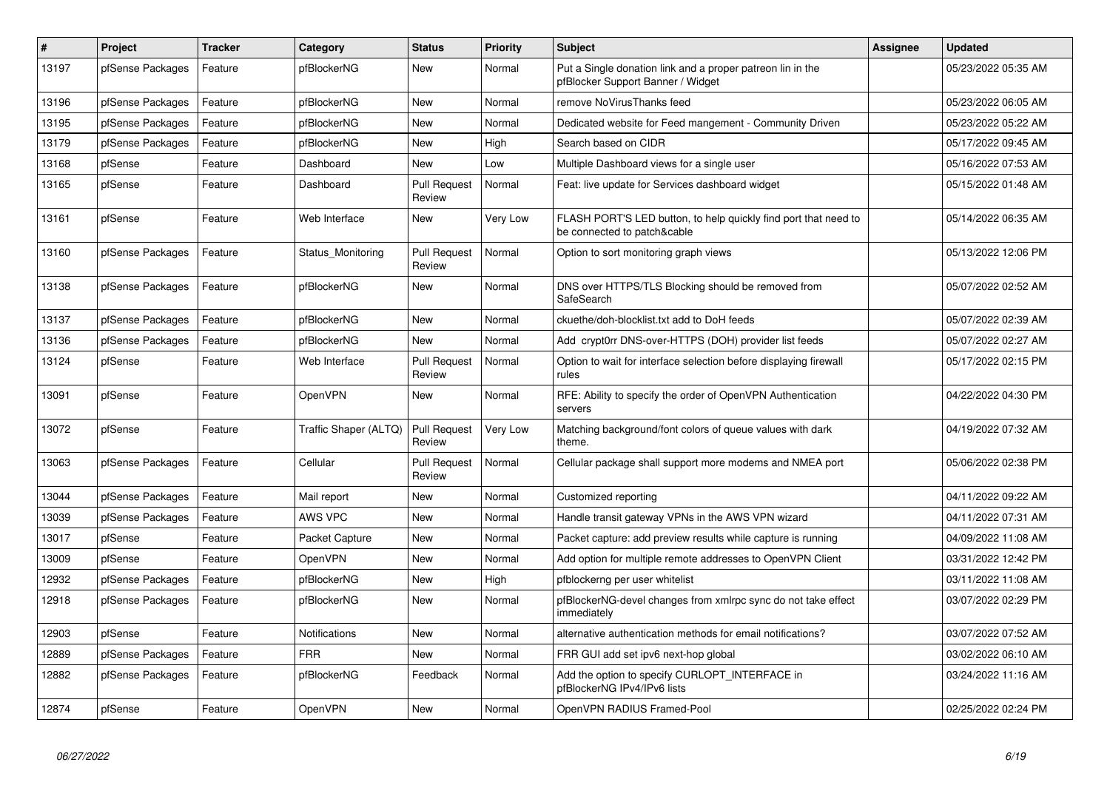| #     | <b>Project</b>   | <b>Tracker</b> | Category              | <b>Status</b>                 | Priority | <b>Subject</b>                                                                                  | <b>Assignee</b> | <b>Updated</b>      |
|-------|------------------|----------------|-----------------------|-------------------------------|----------|-------------------------------------------------------------------------------------------------|-----------------|---------------------|
| 13197 | pfSense Packages | Feature        | pfBlockerNG           | New                           | Normal   | Put a Single donation link and a proper patreon lin in the<br>pfBlocker Support Banner / Widget |                 | 05/23/2022 05:35 AM |
| 13196 | pfSense Packages | Feature        | pfBlockerNG           | New                           | Normal   | remove NoVirusThanks feed                                                                       |                 | 05/23/2022 06:05 AM |
| 13195 | pfSense Packages | Feature        | pfBlockerNG           | New                           | Normal   | Dedicated website for Feed mangement - Community Driven                                         |                 | 05/23/2022 05:22 AM |
| 13179 | pfSense Packages | Feature        | pfBlockerNG           | <b>New</b>                    | High     | Search based on CIDR                                                                            |                 | 05/17/2022 09:45 AM |
| 13168 | pfSense          | Feature        | Dashboard             | <b>New</b>                    | Low      | Multiple Dashboard views for a single user                                                      |                 | 05/16/2022 07:53 AM |
| 13165 | pfSense          | Feature        | Dashboard             | <b>Pull Request</b><br>Review | Normal   | Feat: live update for Services dashboard widget                                                 |                 | 05/15/2022 01:48 AM |
| 13161 | pfSense          | Feature        | Web Interface         | <b>New</b>                    | Very Low | FLASH PORT'S LED button, to help quickly find port that need to<br>be connected to patch&cable  |                 | 05/14/2022 06:35 AM |
| 13160 | pfSense Packages | Feature        | Status Monitoring     | Pull Request<br>Review        | Normal   | Option to sort monitoring graph views                                                           |                 | 05/13/2022 12:06 PM |
| 13138 | pfSense Packages | Feature        | pfBlockerNG           | New                           | Normal   | DNS over HTTPS/TLS Blocking should be removed from<br>SafeSearch                                |                 | 05/07/2022 02:52 AM |
| 13137 | pfSense Packages | Feature        | pfBlockerNG           | New                           | Normal   | ckuethe/doh-blocklist.txt add to DoH feeds                                                      |                 | 05/07/2022 02:39 AM |
| 13136 | pfSense Packages | Feature        | pfBlockerNG           | New                           | Normal   | Add crypt0rr DNS-over-HTTPS (DOH) provider list feeds                                           |                 | 05/07/2022 02:27 AM |
| 13124 | pfSense          | Feature        | Web Interface         | Pull Request<br>Review        | Normal   | Option to wait for interface selection before displaying firewall<br>rules                      |                 | 05/17/2022 02:15 PM |
| 13091 | pfSense          | Feature        | OpenVPN               | New                           | Normal   | RFE: Ability to specify the order of OpenVPN Authentication<br>servers                          |                 | 04/22/2022 04:30 PM |
| 13072 | pfSense          | Feature        | Traffic Shaper (ALTQ) | <b>Pull Request</b><br>Review | Very Low | Matching background/font colors of queue values with dark<br>theme.                             |                 | 04/19/2022 07:32 AM |
| 13063 | pfSense Packages | Feature        | Cellular              | <b>Pull Request</b><br>Review | Normal   | Cellular package shall support more modems and NMEA port                                        |                 | 05/06/2022 02:38 PM |
| 13044 | pfSense Packages | Feature        | Mail report           | <b>New</b>                    | Normal   | Customized reporting                                                                            |                 | 04/11/2022 09:22 AM |
| 13039 | pfSense Packages | Feature        | <b>AWS VPC</b>        | <b>New</b>                    | Normal   | Handle transit gateway VPNs in the AWS VPN wizard                                               |                 | 04/11/2022 07:31 AM |
| 13017 | pfSense          | Feature        | Packet Capture        | New                           | Normal   | Packet capture: add preview results while capture is running                                    |                 | 04/09/2022 11:08 AM |
| 13009 | pfSense          | Feature        | <b>OpenVPN</b>        | <b>New</b>                    | Normal   | Add option for multiple remote addresses to OpenVPN Client                                      |                 | 03/31/2022 12:42 PM |
| 12932 | pfSense Packages | Feature        | pfBlockerNG           | New                           | High     | pfblockerng per user whitelist                                                                  |                 | 03/11/2022 11:08 AM |
| 12918 | pfSense Packages | Feature        | pfBlockerNG           | <b>New</b>                    | Normal   | pfBlockerNG-devel changes from xmlrpc sync do not take effect<br>immediately                    |                 | 03/07/2022 02:29 PM |
| 12903 | pfSense          | Feature        | <b>Notifications</b>  | <b>New</b>                    | Normal   | alternative authentication methods for email notifications?                                     |                 | 03/07/2022 07:52 AM |
| 12889 | pfSense Packages | Feature        | <b>FRR</b>            | <b>New</b>                    | Normal   | FRR GUI add set ipv6 next-hop global                                                            |                 | 03/02/2022 06:10 AM |
| 12882 | pfSense Packages | Feature        | pfBlockerNG           | Feedback                      | Normal   | Add the option to specify CURLOPT_INTERFACE in<br>pfBlockerNG IPv4/IPv6 lists                   |                 | 03/24/2022 11:16 AM |
| 12874 | pfSense          | Feature        | <b>OpenVPN</b>        | New                           | Normal   | OpenVPN RADIUS Framed-Pool                                                                      |                 | 02/25/2022 02:24 PM |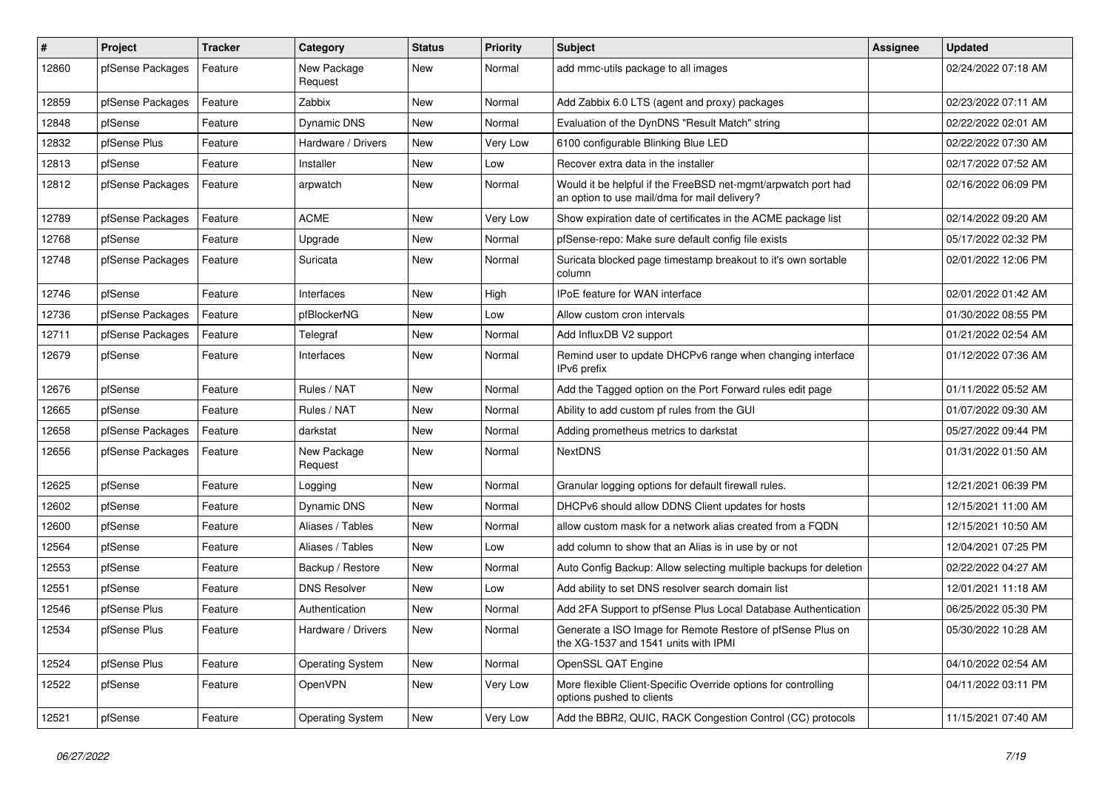| #     | Project          | <b>Tracker</b> | Category                | <b>Status</b> | <b>Priority</b> | Subject                                                                                                       | Assignee | <b>Updated</b>      |
|-------|------------------|----------------|-------------------------|---------------|-----------------|---------------------------------------------------------------------------------------------------------------|----------|---------------------|
| 12860 | pfSense Packages | Feature        | New Package<br>Request  | New           | Normal          | add mmc-utils package to all images                                                                           |          | 02/24/2022 07:18 AM |
| 12859 | pfSense Packages | Feature        | Zabbix                  | New           | Normal          | Add Zabbix 6.0 LTS (agent and proxy) packages                                                                 |          | 02/23/2022 07:11 AM |
| 12848 | pfSense          | Feature        | <b>Dynamic DNS</b>      | New           | Normal          | Evaluation of the DynDNS "Result Match" string                                                                |          | 02/22/2022 02:01 AM |
| 12832 | pfSense Plus     | Feature        | Hardware / Drivers      | <b>New</b>    | Very Low        | 6100 configurable Blinking Blue LED                                                                           |          | 02/22/2022 07:30 AM |
| 12813 | pfSense          | Feature        | Installer               | New           | Low             | Recover extra data in the installer                                                                           |          | 02/17/2022 07:52 AM |
| 12812 | pfSense Packages | Feature        | arpwatch                | New           | Normal          | Would it be helpful if the FreeBSD net-mgmt/arpwatch port had<br>an option to use mail/dma for mail delivery? |          | 02/16/2022 06:09 PM |
| 12789 | pfSense Packages | Feature        | <b>ACME</b>             | <b>New</b>    | Very Low        | Show expiration date of certificates in the ACME package list                                                 |          | 02/14/2022 09:20 AM |
| 12768 | pfSense          | Feature        | Upgrade                 | New           | Normal          | pfSense-repo: Make sure default config file exists                                                            |          | 05/17/2022 02:32 PM |
| 12748 | pfSense Packages | Feature        | Suricata                | New           | Normal          | Suricata blocked page timestamp breakout to it's own sortable<br>column                                       |          | 02/01/2022 12:06 PM |
| 12746 | pfSense          | Feature        | Interfaces              | <b>New</b>    | High            | IPoE feature for WAN interface                                                                                |          | 02/01/2022 01:42 AM |
| 12736 | pfSense Packages | Feature        | pfBlockerNG             | New           | Low             | Allow custom cron intervals                                                                                   |          | 01/30/2022 08:55 PM |
| 12711 | pfSense Packages | Feature        | Telegraf                | <b>New</b>    | Normal          | Add InfluxDB V2 support                                                                                       |          | 01/21/2022 02:54 AM |
| 12679 | pfSense          | Feature        | Interfaces              | New           | Normal          | Remind user to update DHCPv6 range when changing interface<br>IPv6 prefix                                     |          | 01/12/2022 07:36 AM |
| 12676 | pfSense          | Feature        | Rules / NAT             | <b>New</b>    | Normal          | Add the Tagged option on the Port Forward rules edit page                                                     |          | 01/11/2022 05:52 AM |
| 12665 | pfSense          | Feature        | Rules / NAT             | New           | Normal          | Ability to add custom pf rules from the GUI                                                                   |          | 01/07/2022 09:30 AM |
| 12658 | pfSense Packages | Feature        | darkstat                | New           | Normal          | Adding prometheus metrics to darkstat                                                                         |          | 05/27/2022 09:44 PM |
| 12656 | pfSense Packages | Feature        | New Package<br>Request  | New           | Normal          | <b>NextDNS</b>                                                                                                |          | 01/31/2022 01:50 AM |
| 12625 | pfSense          | Feature        | Logging                 | <b>New</b>    | Normal          | Granular logging options for default firewall rules.                                                          |          | 12/21/2021 06:39 PM |
| 12602 | pfSense          | Feature        | Dynamic DNS             | New           | Normal          | DHCPv6 should allow DDNS Client updates for hosts                                                             |          | 12/15/2021 11:00 AM |
| 12600 | pfSense          | Feature        | Aliases / Tables        | New           | Normal          | allow custom mask for a network alias created from a FQDN                                                     |          | 12/15/2021 10:50 AM |
| 12564 | pfSense          | Feature        | Aliases / Tables        | New           | Low             | add column to show that an Alias is in use by or not                                                          |          | 12/04/2021 07:25 PM |
| 12553 | pfSense          | Feature        | Backup / Restore        | New           | Normal          | Auto Config Backup: Allow selecting multiple backups for deletion                                             |          | 02/22/2022 04:27 AM |
| 12551 | pfSense          | Feature        | <b>DNS Resolver</b>     | New           | Low             | Add ability to set DNS resolver search domain list                                                            |          | 12/01/2021 11:18 AM |
| 12546 | pfSense Plus     | Feature        | Authentication          | New           | Normal          | Add 2FA Support to pfSense Plus Local Database Authentication                                                 |          | 06/25/2022 05:30 PM |
| 12534 | ptSense Plus     | Feature        | Hardware / Drivers      | New           | Normal          | Generate a ISO Image for Remote Restore of pfSense Plus on<br>the XG-1537 and 1541 units with IPMI            |          | 05/30/2022 10:28 AM |
| 12524 | pfSense Plus     | Feature        | <b>Operating System</b> | New           | Normal          | OpenSSL QAT Engine                                                                                            |          | 04/10/2022 02:54 AM |
| 12522 | pfSense          | Feature        | OpenVPN                 | New           | Very Low        | More flexible Client-Specific Override options for controlling<br>options pushed to clients                   |          | 04/11/2022 03:11 PM |
| 12521 | pfSense          | Feature        | <b>Operating System</b> | New           | Very Low        | Add the BBR2, QUIC, RACK Congestion Control (CC) protocols                                                    |          | 11/15/2021 07:40 AM |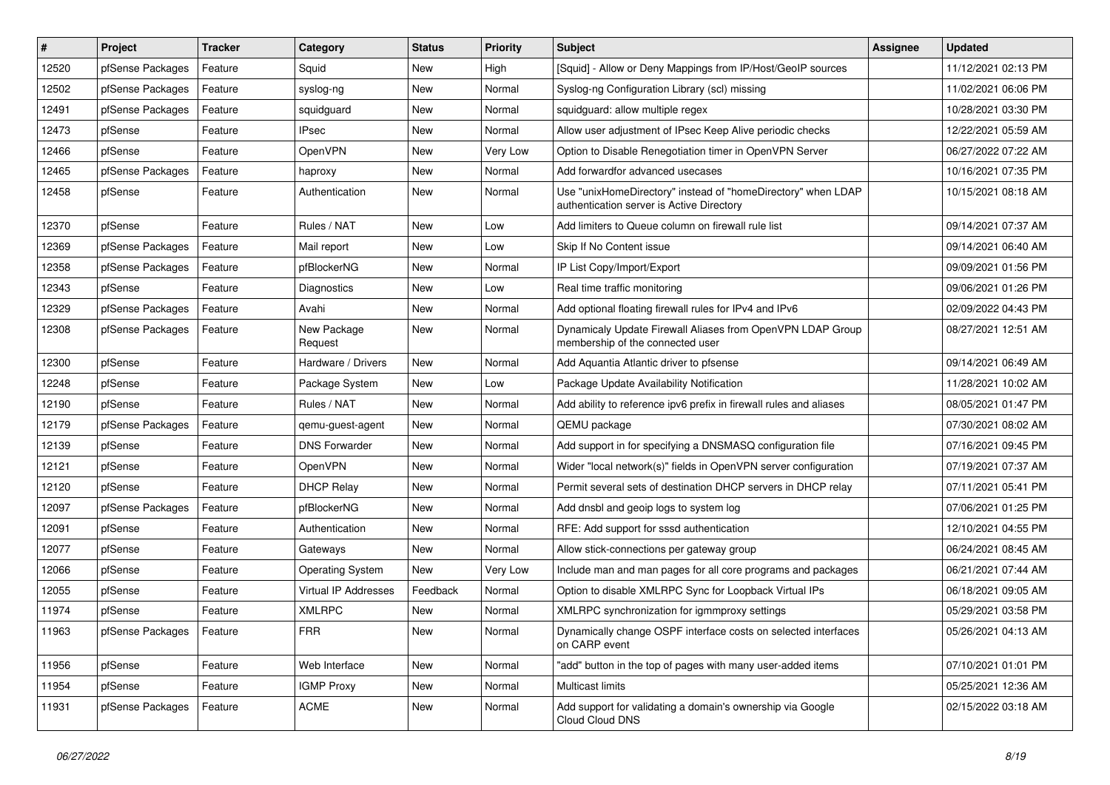| $\vert$ # | Project                    | <b>Tracker</b> | Category                | <b>Status</b> | <b>Priority</b> | Subject                                                                                                   | Assignee | Updated             |
|-----------|----------------------------|----------------|-------------------------|---------------|-----------------|-----------------------------------------------------------------------------------------------------------|----------|---------------------|
| 12520     | pfSense Packages           | Feature        | Squid                   | New           | High            | [Squid] - Allow or Deny Mappings from IP/Host/GeoIP sources                                               |          | 11/12/2021 02:13 PM |
| 12502     | pfSense Packages           | Feature        | syslog-ng               | New           | Normal          | Syslog-ng Configuration Library (scl) missing                                                             |          | 11/02/2021 06:06 PM |
| 12491     | pfSense Packages           | Feature        | squidguard              | New           | Normal          | squidguard: allow multiple regex                                                                          |          | 10/28/2021 03:30 PM |
| 12473     | pfSense                    | Feature        | <b>IPsec</b>            | New           | Normal          | Allow user adjustment of IPsec Keep Alive periodic checks                                                 |          | 12/22/2021 05:59 AM |
| 12466     | pfSense                    | Feature        | OpenVPN                 | New           | Very Low        | Option to Disable Renegotiation timer in OpenVPN Server                                                   |          | 06/27/2022 07:22 AM |
| 12465     | pfSense Packages           | Feature        | haproxy                 | New           | Normal          | Add forwardfor advanced usecases                                                                          |          | 10/16/2021 07:35 PM |
| 12458     | pfSense                    | Feature        | Authentication          | New           | Normal          | Use "unixHomeDirectory" instead of "homeDirectory" when LDAP<br>authentication server is Active Directory |          | 10/15/2021 08:18 AM |
| 12370     | pfSense                    | Feature        | Rules / NAT             | <b>New</b>    | Low             | Add limiters to Queue column on firewall rule list                                                        |          | 09/14/2021 07:37 AM |
| 12369     | pfSense Packages           | Feature        | Mail report             | New           | Low             | Skip If No Content issue                                                                                  |          | 09/14/2021 06:40 AM |
| 12358     | pfSense Packages           | Feature        | pfBlockerNG             | New           | Normal          | IP List Copy/Import/Export                                                                                |          | 09/09/2021 01:56 PM |
| 12343     | pfSense                    | Feature        | Diagnostics             | New           | Low             | Real time traffic monitoring                                                                              |          | 09/06/2021 01:26 PM |
| 12329     | pfSense Packages           | Feature        | Avahi                   | <b>New</b>    | Normal          | Add optional floating firewall rules for IPv4 and IPv6                                                    |          | 02/09/2022 04:43 PM |
| 12308     | pfSense Packages           | Feature        | New Package<br>Request  | New           | Normal          | Dynamicaly Update Firewall Aliases from OpenVPN LDAP Group<br>membership of the connected user            |          | 08/27/2021 12:51 AM |
| 12300     | pfSense                    | Feature        | Hardware / Drivers      | New           | Normal          | Add Aquantia Atlantic driver to pfsense                                                                   |          | 09/14/2021 06:49 AM |
| 12248     | pfSense                    | Feature        | Package System          | New           | Low             | Package Update Availability Notification                                                                  |          | 11/28/2021 10:02 AM |
| 12190     | pfSense                    | Feature        | Rules / NAT             | <b>New</b>    | Normal          | Add ability to reference ipv6 prefix in firewall rules and aliases                                        |          | 08/05/2021 01:47 PM |
| 12179     | pfSense Packages           | Feature        | gemu-guest-agent        | New           | Normal          | QEMU package                                                                                              |          | 07/30/2021 08:02 AM |
| 12139     | pfSense                    | Feature        | <b>DNS Forwarder</b>    | New           | Normal          | Add support in for specifying a DNSMASQ configuration file                                                |          | 07/16/2021 09:45 PM |
| 12121     | pfSense                    | Feature        | OpenVPN                 | <b>New</b>    | Normal          | Wider "local network(s)" fields in OpenVPN server configuration                                           |          | 07/19/2021 07:37 AM |
| 12120     | pfSense                    | Feature        | <b>DHCP Relay</b>       | New           | Normal          | Permit several sets of destination DHCP servers in DHCP relay                                             |          | 07/11/2021 05:41 PM |
| 12097     | pfSense Packages           | Feature        | pfBlockerNG             | <b>New</b>    | Normal          | Add dnsbl and geoip logs to system log                                                                    |          | 07/06/2021 01:25 PM |
| 12091     | pfSense                    | Feature        | Authentication          | New           | Normal          | RFE: Add support for sssd authentication                                                                  |          | 12/10/2021 04:55 PM |
| 12077     | pfSense                    | Feature        | Gateways                | New           | Normal          | Allow stick-connections per gateway group                                                                 |          | 06/24/2021 08:45 AM |
| 12066     | pfSense                    | Feature        | <b>Operating System</b> | New           | Very Low        | Include man and man pages for all core programs and packages                                              |          | 06/21/2021 07:44 AM |
| 12055     | pfSense                    | Feature        | Virtual IP Addresses    | Feedback      | Normal          | Option to disable XMLRPC Sync for Loopback Virtual IPs                                                    |          | 06/18/2021 09:05 AM |
| 11974     | pfSense                    | Feature        | <b>XMLRPC</b>           | New           | Normal          | XMLRPC synchronization for igmmproxy settings                                                             |          | 05/29/2021 03:58 PM |
| 11963     | pfSense Packages   Feature |                | <b>FRR</b>              | New           | Normal          | Dynamically change OSPF interface costs on selected interfaces<br>on CARP event                           |          | 05/26/2021 04:13 AM |
| 11956     | pfSense                    | Feature        | Web Interface           | New           | Normal          | "add" button in the top of pages with many user-added items                                               |          | 07/10/2021 01:01 PM |
| 11954     | pfSense                    | Feature        | <b>IGMP Proxy</b>       | New           | Normal          | Multicast limits                                                                                          |          | 05/25/2021 12:36 AM |
| 11931     | pfSense Packages           | Feature        | <b>ACME</b>             | New           | Normal          | Add support for validating a domain's ownership via Google<br>Cloud Cloud DNS                             |          | 02/15/2022 03:18 AM |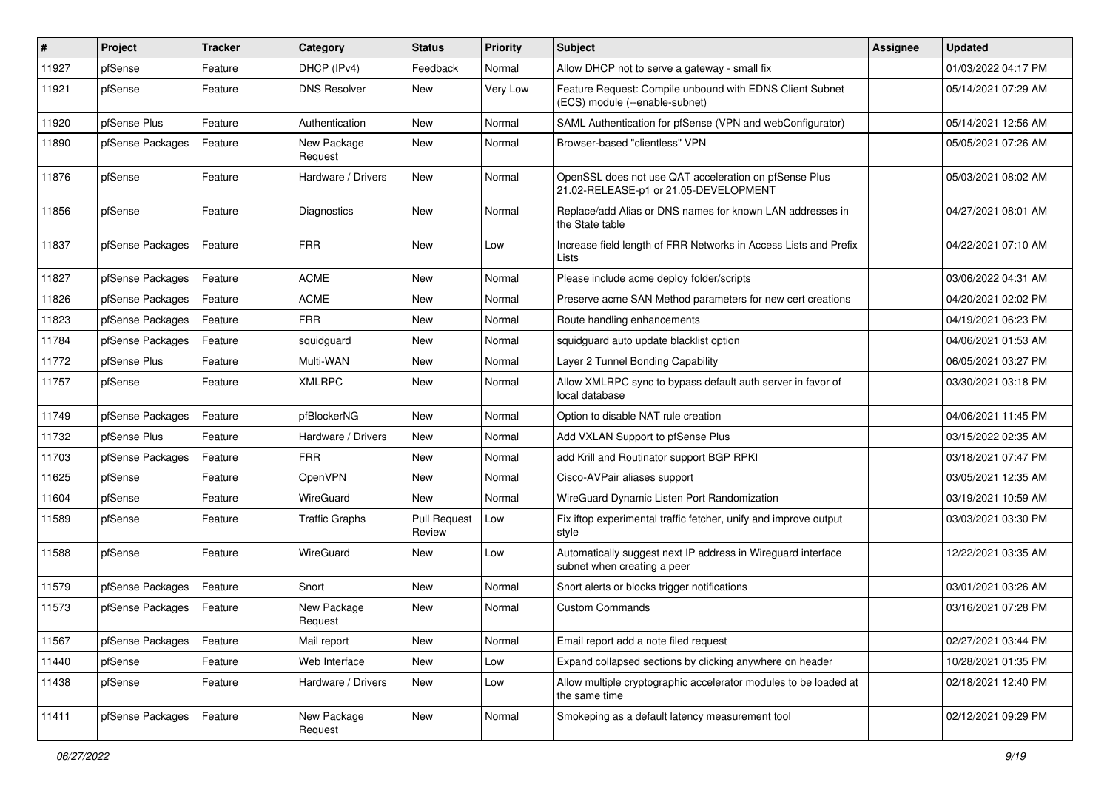| $\vert$ # | Project          | <b>Tracker</b> | Category               | <b>Status</b>                 | <b>Priority</b> | <b>Subject</b>                                                                                 | <b>Assignee</b> | <b>Updated</b>      |
|-----------|------------------|----------------|------------------------|-------------------------------|-----------------|------------------------------------------------------------------------------------------------|-----------------|---------------------|
| 11927     | pfSense          | Feature        | DHCP (IPv4)            | Feedback                      | Normal          | Allow DHCP not to serve a gateway - small fix                                                  |                 | 01/03/2022 04:17 PM |
| 11921     | pfSense          | Feature        | <b>DNS Resolver</b>    | New                           | Very Low        | Feature Request: Compile unbound with EDNS Client Subnet<br>(ECS) module (--enable-subnet)     |                 | 05/14/2021 07:29 AM |
| 11920     | pfSense Plus     | Feature        | Authentication         | <b>New</b>                    | Normal          | SAML Authentication for pfSense (VPN and webConfigurator)                                      |                 | 05/14/2021 12:56 AM |
| 11890     | pfSense Packages | Feature        | New Package<br>Request | <b>New</b>                    | Normal          | Browser-based "clientless" VPN                                                                 |                 | 05/05/2021 07:26 AM |
| 11876     | pfSense          | Feature        | Hardware / Drivers     | New                           | Normal          | OpenSSL does not use QAT acceleration on pfSense Plus<br>21.02-RELEASE-p1 or 21.05-DEVELOPMENT |                 | 05/03/2021 08:02 AM |
| 11856     | pfSense          | Feature        | Diagnostics            | <b>New</b>                    | Normal          | Replace/add Alias or DNS names for known LAN addresses in<br>the State table                   |                 | 04/27/2021 08:01 AM |
| 11837     | pfSense Packages | Feature        | <b>FRR</b>             | <b>New</b>                    | Low             | Increase field length of FRR Networks in Access Lists and Prefix<br>Lists                      |                 | 04/22/2021 07:10 AM |
| 11827     | pfSense Packages | Feature        | <b>ACME</b>            | <b>New</b>                    | Normal          | Please include acme deploy folder/scripts                                                      |                 | 03/06/2022 04:31 AM |
| 11826     | pfSense Packages | Feature        | <b>ACME</b>            | New                           | Normal          | Preserve acme SAN Method parameters for new cert creations                                     |                 | 04/20/2021 02:02 PM |
| 11823     | pfSense Packages | Feature        | <b>FRR</b>             | New                           | Normal          | Route handling enhancements                                                                    |                 | 04/19/2021 06:23 PM |
| 11784     | pfSense Packages | Feature        | squidguard             | New                           | Normal          | squidguard auto update blacklist option                                                        |                 | 04/06/2021 01:53 AM |
| 11772     | pfSense Plus     | Feature        | Multi-WAN              | New                           | Normal          | Layer 2 Tunnel Bonding Capability                                                              |                 | 06/05/2021 03:27 PM |
| 11757     | pfSense          | Feature        | <b>XMLRPC</b>          | New                           | Normal          | Allow XMLRPC sync to bypass default auth server in favor of<br>local database                  |                 | 03/30/2021 03:18 PM |
| 11749     | pfSense Packages | Feature        | pfBlockerNG            | New                           | Normal          | Option to disable NAT rule creation                                                            |                 | 04/06/2021 11:45 PM |
| 11732     | pfSense Plus     | Feature        | Hardware / Drivers     | <b>New</b>                    | Normal          | Add VXLAN Support to pfSense Plus                                                              |                 | 03/15/2022 02:35 AM |
| 11703     | pfSense Packages | Feature        | <b>FRR</b>             | New                           | Normal          | add Krill and Routinator support BGP RPKI                                                      |                 | 03/18/2021 07:47 PM |
| 11625     | pfSense          | Feature        | OpenVPN                | New                           | Normal          | Cisco-AVPair aliases support                                                                   |                 | 03/05/2021 12:35 AM |
| 11604     | pfSense          | Feature        | WireGuard              | <b>New</b>                    | Normal          | WireGuard Dynamic Listen Port Randomization                                                    |                 | 03/19/2021 10:59 AM |
| 11589     | pfSense          | Feature        | <b>Traffic Graphs</b>  | <b>Pull Request</b><br>Review | Low             | Fix iftop experimental traffic fetcher, unify and improve output<br>style                      |                 | 03/03/2021 03:30 PM |
| 11588     | pfSense          | Feature        | WireGuard              | <b>New</b>                    | Low             | Automatically suggest next IP address in Wireguard interface<br>subnet when creating a peer    |                 | 12/22/2021 03:35 AM |
| 11579     | pfSense Packages | Feature        | Snort                  | <b>New</b>                    | Normal          | Snort alerts or blocks trigger notifications                                                   |                 | 03/01/2021 03:26 AM |
| 11573     | pfSense Packages | Feature        | New Package<br>Request | New                           | Normal          | <b>Custom Commands</b>                                                                         |                 | 03/16/2021 07:28 PM |
| 11567     | pfSense Packages | Feature        | Mail report            | New                           | Normal          | Email report add a note filed request                                                          |                 | 02/27/2021 03:44 PM |
| 11440     | pfSense          | Feature        | Web Interface          | New                           | Low             | Expand collapsed sections by clicking anywhere on header                                       |                 | 10/28/2021 01:35 PM |
| 11438     | pfSense          | Feature        | Hardware / Drivers     | New                           | Low             | Allow multiple cryptographic accelerator modules to be loaded at<br>the same time              |                 | 02/18/2021 12:40 PM |
| 11411     | pfSense Packages | Feature        | New Package<br>Request | New                           | Normal          | Smokeping as a default latency measurement tool                                                |                 | 02/12/2021 09:29 PM |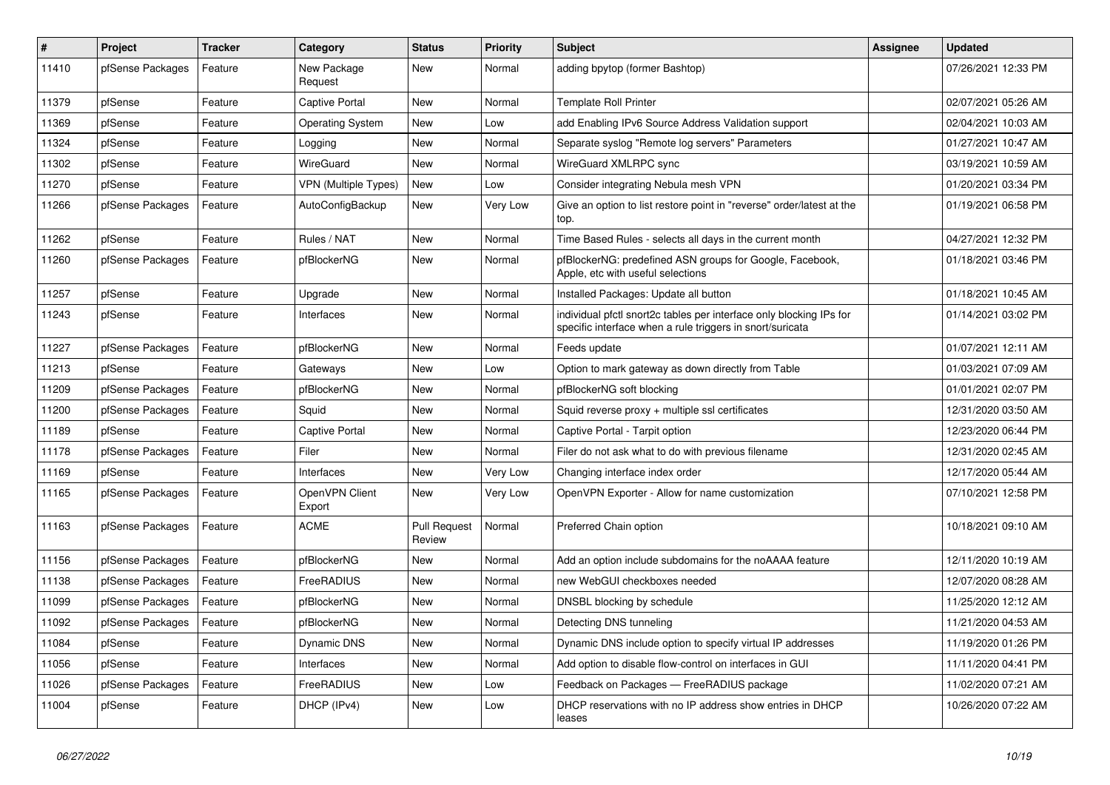| $\vert$ # | Project          | <b>Tracker</b> | Category                 | <b>Status</b>                 | <b>Priority</b> | Subject                                                                                                                          | <b>Assignee</b> | <b>Updated</b>      |
|-----------|------------------|----------------|--------------------------|-------------------------------|-----------------|----------------------------------------------------------------------------------------------------------------------------------|-----------------|---------------------|
| 11410     | pfSense Packages | Feature        | New Package<br>Request   | New                           | Normal          | adding bpytop (former Bashtop)                                                                                                   |                 | 07/26/2021 12:33 PM |
| 11379     | pfSense          | Feature        | Captive Portal           | New                           | Normal          | <b>Template Roll Printer</b>                                                                                                     |                 | 02/07/2021 05:26 AM |
| 11369     | pfSense          | Feature        | <b>Operating System</b>  | New                           | Low             | add Enabling IPv6 Source Address Validation support                                                                              |                 | 02/04/2021 10:03 AM |
| 11324     | pfSense          | Feature        | Logging                  | New                           | Normal          | Separate syslog "Remote log servers" Parameters                                                                                  |                 | 01/27/2021 10:47 AM |
| 11302     | pfSense          | Feature        | WireGuard                | New                           | Normal          | WireGuard XMLRPC sync                                                                                                            |                 | 03/19/2021 10:59 AM |
| 11270     | pfSense          | Feature        | VPN (Multiple Types)     | New                           | Low             | Consider integrating Nebula mesh VPN                                                                                             |                 | 01/20/2021 03:34 PM |
| 11266     | pfSense Packages | Feature        | AutoConfigBackup         | New                           | Very Low        | Give an option to list restore point in "reverse" order/latest at the<br>top.                                                    |                 | 01/19/2021 06:58 PM |
| 11262     | pfSense          | Feature        | Rules / NAT              | New                           | Normal          | Time Based Rules - selects all days in the current month                                                                         |                 | 04/27/2021 12:32 PM |
| 11260     | pfSense Packages | Feature        | pfBlockerNG              | New                           | Normal          | pfBlockerNG: predefined ASN groups for Google, Facebook,<br>Apple, etc with useful selections                                    |                 | 01/18/2021 03:46 PM |
| 11257     | pfSense          | Feature        | Upgrade                  | <b>New</b>                    | Normal          | Installed Packages: Update all button                                                                                            |                 | 01/18/2021 10:45 AM |
| 11243     | pfSense          | Feature        | Interfaces               | New                           | Normal          | individual pfctl snort2c tables per interface only blocking IPs for<br>specific interface when a rule triggers in snort/suricata |                 | 01/14/2021 03:02 PM |
| 11227     | pfSense Packages | Feature        | pfBlockerNG              | New                           | Normal          | Feeds update                                                                                                                     |                 | 01/07/2021 12:11 AM |
| 11213     | pfSense          | Feature        | Gateways                 | New                           | Low             | Option to mark gateway as down directly from Table                                                                               |                 | 01/03/2021 07:09 AM |
| 11209     | pfSense Packages | Feature        | pfBlockerNG              | New                           | Normal          | pfBlockerNG soft blocking                                                                                                        |                 | 01/01/2021 02:07 PM |
| 11200     | pfSense Packages | Feature        | Squid                    | New                           | Normal          | Squid reverse proxy + multiple ssl certificates                                                                                  |                 | 12/31/2020 03:50 AM |
| 11189     | pfSense          | Feature        | <b>Captive Portal</b>    | New                           | Normal          | Captive Portal - Tarpit option                                                                                                   |                 | 12/23/2020 06:44 PM |
| 11178     | pfSense Packages | Feature        | Filer                    | New                           | Normal          | Filer do not ask what to do with previous filename                                                                               |                 | 12/31/2020 02:45 AM |
| 11169     | pfSense          | Feature        | Interfaces               | New                           | Very Low        | Changing interface index order                                                                                                   |                 | 12/17/2020 05:44 AM |
| 11165     | pfSense Packages | Feature        | OpenVPN Client<br>Export | New                           | Very Low        | OpenVPN Exporter - Allow for name customization                                                                                  |                 | 07/10/2021 12:58 PM |
| 11163     | pfSense Packages | Feature        | <b>ACME</b>              | <b>Pull Request</b><br>Review | Normal          | Preferred Chain option                                                                                                           |                 | 10/18/2021 09:10 AM |
| 11156     | pfSense Packages | Feature        | pfBlockerNG              | New                           | Normal          | Add an option include subdomains for the noAAAA feature                                                                          |                 | 12/11/2020 10:19 AM |
| 11138     | pfSense Packages | Feature        | FreeRADIUS               | New                           | Normal          | new WebGUI checkboxes needed                                                                                                     |                 | 12/07/2020 08:28 AM |
| 11099     | pfSense Packages | Feature        | pfBlockerNG              | New                           | Normal          | DNSBL blocking by schedule                                                                                                       |                 | 11/25/2020 12:12 AM |
| 11092     | pfSense Packages | Feature        | pfBlockerNG              | New                           | Normal          | Detecting DNS tunneling                                                                                                          |                 | 11/21/2020 04:53 AM |
| 11084     | pfSense          | Feature        | Dynamic DNS              | New                           | Normal          | Dynamic DNS include option to specify virtual IP addresses                                                                       |                 | 11/19/2020 01:26 PM |
| 11056     | pfSense          | Feature        | Interfaces               | New                           | Normal          | Add option to disable flow-control on interfaces in GUI                                                                          |                 | 11/11/2020 04:41 PM |
| 11026     | pfSense Packages | Feature        | FreeRADIUS               | New                           | Low             | Feedback on Packages - FreeRADIUS package                                                                                        |                 | 11/02/2020 07:21 AM |
| 11004     | pfSense          | Feature        | DHCP (IPv4)              | New                           | Low             | DHCP reservations with no IP address show entries in DHCP<br>leases                                                              |                 | 10/26/2020 07:22 AM |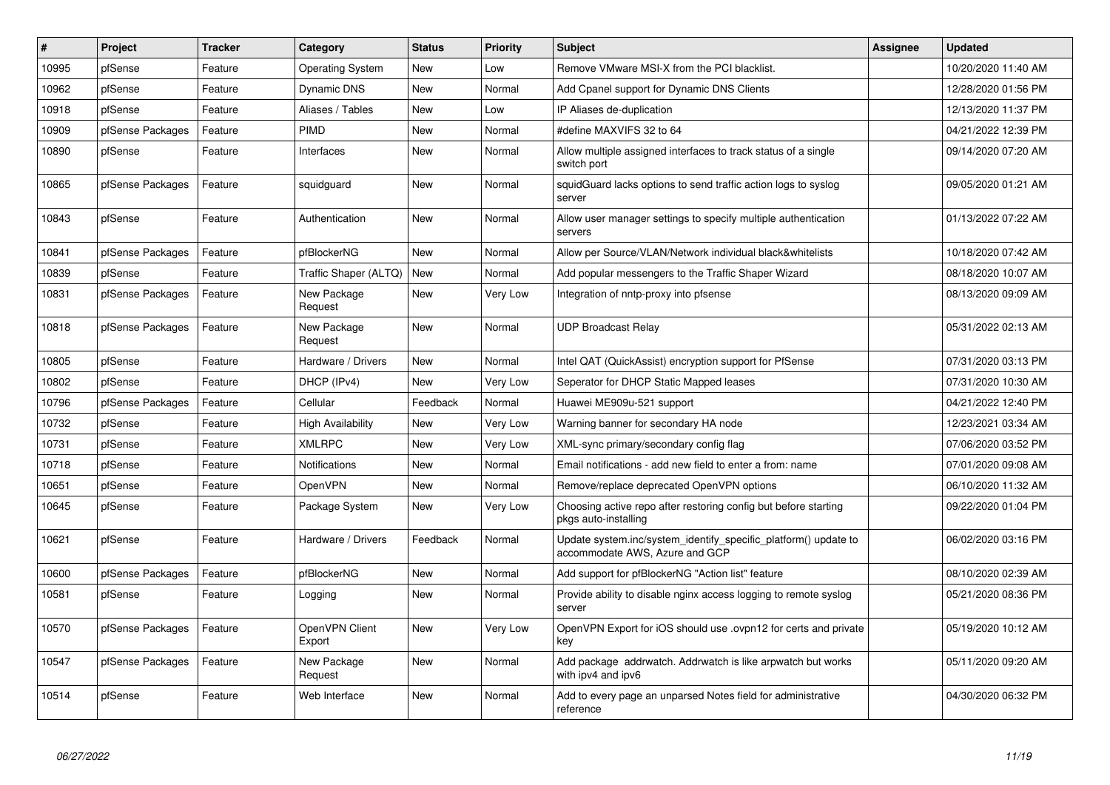| ∦     | <b>Project</b>   | <b>Tracker</b> | Category                 | <b>Status</b> | Priority | <b>Subject</b>                                                                                    | <b>Assignee</b> | <b>Updated</b>      |
|-------|------------------|----------------|--------------------------|---------------|----------|---------------------------------------------------------------------------------------------------|-----------------|---------------------|
| 10995 | pfSense          | Feature        | <b>Operating System</b>  | New           | Low      | Remove VMware MSI-X from the PCI blacklist.                                                       |                 | 10/20/2020 11:40 AM |
| 10962 | pfSense          | Feature        | <b>Dynamic DNS</b>       | <b>New</b>    | Normal   | Add Cpanel support for Dynamic DNS Clients                                                        |                 | 12/28/2020 01:56 PM |
| 10918 | pfSense          | Feature        | Aliases / Tables         | New           | Low      | IP Aliases de-duplication                                                                         |                 | 12/13/2020 11:37 PM |
| 10909 | pfSense Packages | Feature        | PIMD                     | <b>New</b>    | Normal   | #define MAXVIFS 32 to 64                                                                          |                 | 04/21/2022 12:39 PM |
| 10890 | pfSense          | Feature        | Interfaces               | New           | Normal   | Allow multiple assigned interfaces to track status of a single<br>switch port                     |                 | 09/14/2020 07:20 AM |
| 10865 | pfSense Packages | Feature        | squidguard               | <b>New</b>    | Normal   | squidGuard lacks options to send traffic action logs to syslog<br>server                          |                 | 09/05/2020 01:21 AM |
| 10843 | pfSense          | Feature        | Authentication           | <b>New</b>    | Normal   | Allow user manager settings to specify multiple authentication<br>servers                         |                 | 01/13/2022 07:22 AM |
| 10841 | pfSense Packages | Feature        | pfBlockerNG              | <b>New</b>    | Normal   | Allow per Source/VLAN/Network individual black&whitelists                                         |                 | 10/18/2020 07:42 AM |
| 10839 | pfSense          | Feature        | Traffic Shaper (ALTQ)    | <b>New</b>    | Normal   | Add popular messengers to the Traffic Shaper Wizard                                               |                 | 08/18/2020 10:07 AM |
| 10831 | pfSense Packages | Feature        | New Package<br>Request   | <b>New</b>    | Very Low | Integration of nntp-proxy into pfsense                                                            |                 | 08/13/2020 09:09 AM |
| 10818 | pfSense Packages | Feature        | New Package<br>Request   | <b>New</b>    | Normal   | <b>UDP Broadcast Relay</b>                                                                        |                 | 05/31/2022 02:13 AM |
| 10805 | pfSense          | Feature        | Hardware / Drivers       | New           | Normal   | Intel QAT (QuickAssist) encryption support for PfSense                                            |                 | 07/31/2020 03:13 PM |
| 10802 | pfSense          | Feature        | DHCP (IPv4)              | <b>New</b>    | Very Low | Seperator for DHCP Static Mapped leases                                                           |                 | 07/31/2020 10:30 AM |
| 10796 | pfSense Packages | Feature        | Cellular                 | Feedback      | Normal   | Huawei ME909u-521 support                                                                         |                 | 04/21/2022 12:40 PM |
| 10732 | pfSense          | Feature        | High Availability        | <b>New</b>    | Very Low | Warning banner for secondary HA node                                                              |                 | 12/23/2021 03:34 AM |
| 10731 | pfSense          | Feature        | <b>XMLRPC</b>            | <b>New</b>    | Very Low | XML-sync primary/secondary config flag                                                            |                 | 07/06/2020 03:52 PM |
| 10718 | pfSense          | Feature        | <b>Notifications</b>     | <b>New</b>    | Normal   | Email notifications - add new field to enter a from: name                                         |                 | 07/01/2020 09:08 AM |
| 10651 | pfSense          | Feature        | OpenVPN                  | <b>New</b>    | Normal   | Remove/replace deprecated OpenVPN options                                                         |                 | 06/10/2020 11:32 AM |
| 10645 | pfSense          | Feature        | Package System           | New           | Very Low | Choosing active repo after restoring config but before starting<br>pkgs auto-installing           |                 | 09/22/2020 01:04 PM |
| 10621 | pfSense          | Feature        | Hardware / Drivers       | Feedback      | Normal   | Update system.inc/system_identify_specific_platform() update to<br>accommodate AWS, Azure and GCP |                 | 06/02/2020 03:16 PM |
| 10600 | pfSense Packages | Feature        | pfBlockerNG              | New           | Normal   | Add support for pfBlockerNG "Action list" feature                                                 |                 | 08/10/2020 02:39 AM |
| 10581 | pfSense          | Feature        | Logging                  | <b>New</b>    | Normal   | Provide ability to disable nginx access logging to remote syslog<br>server                        |                 | 05/21/2020 08:36 PM |
| 10570 | pfSense Packages | Feature        | OpenVPN Client<br>Export | New           | Very Low | OpenVPN Export for iOS should use .ovpn12 for certs and private<br>kev                            |                 | 05/19/2020 10:12 AM |
| 10547 | pfSense Packages | Feature        | New Package<br>Request   | New           | Normal   | Add package addrwatch. Addrwatch is like arpwatch but works<br>with ipv4 and ipv6                 |                 | 05/11/2020 09:20 AM |
| 10514 | pfSense          | Feature        | Web Interface            | <b>New</b>    | Normal   | Add to every page an unparsed Notes field for administrative<br>reference                         |                 | 04/30/2020 06:32 PM |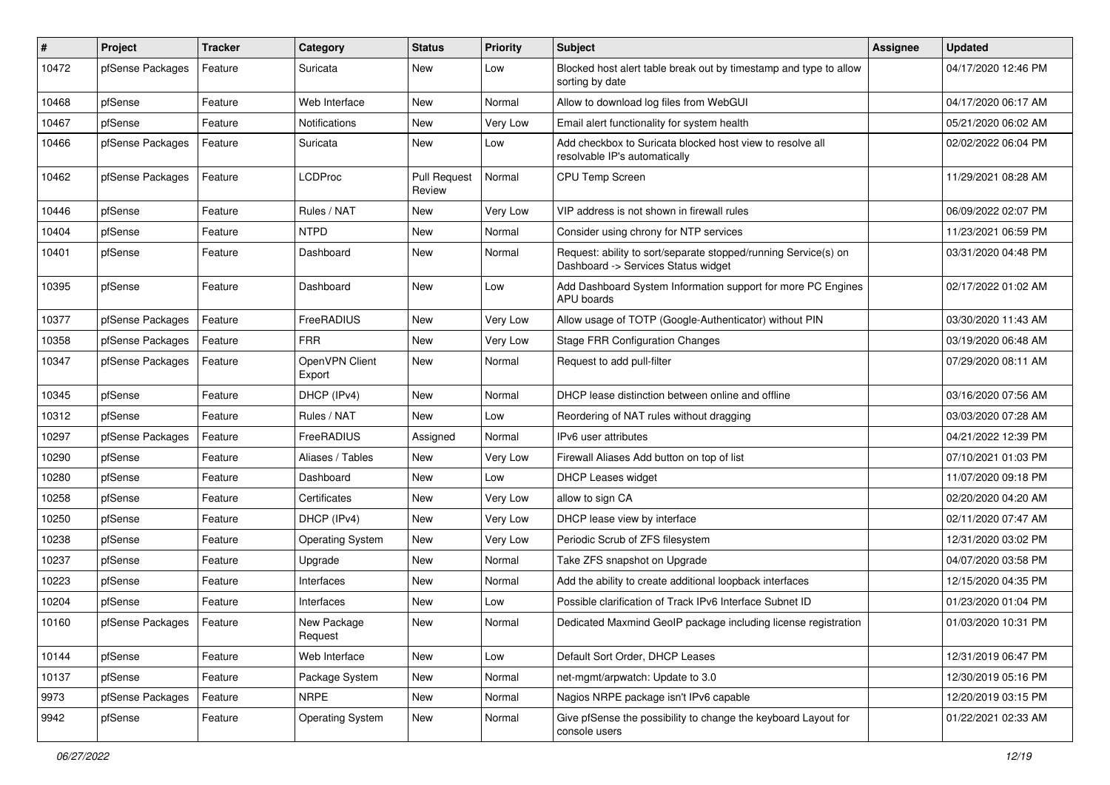| #     | Project          | <b>Tracker</b> | Category                 | <b>Status</b>                 | <b>Priority</b> | <b>Subject</b>                                                                                         | Assignee | <b>Updated</b>      |
|-------|------------------|----------------|--------------------------|-------------------------------|-----------------|--------------------------------------------------------------------------------------------------------|----------|---------------------|
| 10472 | pfSense Packages | Feature        | Suricata                 | New                           | Low             | Blocked host alert table break out by timestamp and type to allow<br>sorting by date                   |          | 04/17/2020 12:46 PM |
| 10468 | pfSense          | Feature        | Web Interface            | New                           | Normal          | Allow to download log files from WebGUI                                                                |          | 04/17/2020 06:17 AM |
| 10467 | pfSense          | Feature        | <b>Notifications</b>     | New                           | Very Low        | Email alert functionality for system health                                                            |          | 05/21/2020 06:02 AM |
| 10466 | pfSense Packages | Feature        | Suricata                 | New                           | Low             | Add checkbox to Suricata blocked host view to resolve all<br>resolvable IP's automatically             |          | 02/02/2022 06:04 PM |
| 10462 | pfSense Packages | Feature        | <b>LCDProc</b>           | <b>Pull Request</b><br>Review | Normal          | <b>CPU Temp Screen</b>                                                                                 |          | 11/29/2021 08:28 AM |
| 10446 | pfSense          | Feature        | Rules / NAT              | New                           | Very Low        | VIP address is not shown in firewall rules                                                             |          | 06/09/2022 02:07 PM |
| 10404 | pfSense          | Feature        | <b>NTPD</b>              | <b>New</b>                    | Normal          | Consider using chrony for NTP services                                                                 |          | 11/23/2021 06:59 PM |
| 10401 | pfSense          | Feature        | Dashboard                | New                           | Normal          | Request: ability to sort/separate stopped/running Service(s) on<br>Dashboard -> Services Status widget |          | 03/31/2020 04:48 PM |
| 10395 | pfSense          | Feature        | Dashboard                | New                           | Low             | Add Dashboard System Information support for more PC Engines<br><b>APU</b> boards                      |          | 02/17/2022 01:02 AM |
| 10377 | pfSense Packages | Feature        | FreeRADIUS               | New                           | Very Low        | Allow usage of TOTP (Google-Authenticator) without PIN                                                 |          | 03/30/2020 11:43 AM |
| 10358 | pfSense Packages | Feature        | <b>FRR</b>               | New                           | Very Low        | <b>Stage FRR Configuration Changes</b>                                                                 |          | 03/19/2020 06:48 AM |
| 10347 | pfSense Packages | Feature        | OpenVPN Client<br>Export | New                           | Normal          | Request to add pull-filter                                                                             |          | 07/29/2020 08:11 AM |
| 10345 | pfSense          | Feature        | DHCP (IPv4)              | New                           | Normal          | DHCP lease distinction between online and offline                                                      |          | 03/16/2020 07:56 AM |
| 10312 | pfSense          | Feature        | Rules / NAT              | <b>New</b>                    | Low             | Reordering of NAT rules without dragging                                                               |          | 03/03/2020 07:28 AM |
| 10297 | pfSense Packages | Feature        | FreeRADIUS               | Assigned                      | Normal          | IPv6 user attributes                                                                                   |          | 04/21/2022 12:39 PM |
| 10290 | pfSense          | Feature        | Aliases / Tables         | New                           | Very Low        | Firewall Aliases Add button on top of list                                                             |          | 07/10/2021 01:03 PM |
| 10280 | pfSense          | Feature        | Dashboard                | New                           | Low             | <b>DHCP Leases widget</b>                                                                              |          | 11/07/2020 09:18 PM |
| 10258 | pfSense          | Feature        | Certificates             | New                           | Very Low        | allow to sign CA                                                                                       |          | 02/20/2020 04:20 AM |
| 10250 | pfSense          | Feature        | DHCP (IPv4)              | New                           | Very Low        | DHCP lease view by interface                                                                           |          | 02/11/2020 07:47 AM |
| 10238 | pfSense          | Feature        | <b>Operating System</b>  | New                           | Very Low        | Periodic Scrub of ZFS filesystem                                                                       |          | 12/31/2020 03:02 PM |
| 10237 | pfSense          | Feature        | Upgrade                  | New                           | Normal          | Take ZFS snapshot on Upgrade                                                                           |          | 04/07/2020 03:58 PM |
| 10223 | pfSense          | Feature        | Interfaces               | New                           | Normal          | Add the ability to create additional loopback interfaces                                               |          | 12/15/2020 04:35 PM |
| 10204 | pfSense          | Feature        | Interfaces               | <b>New</b>                    | Low             | Possible clarification of Track IPv6 Interface Subnet ID                                               |          | 01/23/2020 01:04 PM |
| 10160 | pfSense Packages | Feature        | New Package<br>Request   | New                           | Normal          | Dedicated Maxmind GeoIP package including license registration                                         |          | 01/03/2020 10:31 PM |
| 10144 | pfSense          | Feature        | Web Interface            | New                           | Low             | Default Sort Order, DHCP Leases                                                                        |          | 12/31/2019 06:47 PM |
| 10137 | pfSense          | Feature        | Package System           | New                           | Normal          | net-mgmt/arpwatch: Update to 3.0                                                                       |          | 12/30/2019 05:16 PM |
| 9973  | pfSense Packages | Feature        | <b>NRPE</b>              | New                           | Normal          | Nagios NRPE package isn't IPv6 capable                                                                 |          | 12/20/2019 03:15 PM |
| 9942  | pfSense          | Feature        | <b>Operating System</b>  | New                           | Normal          | Give pfSense the possibility to change the keyboard Layout for<br>console users                        |          | 01/22/2021 02:33 AM |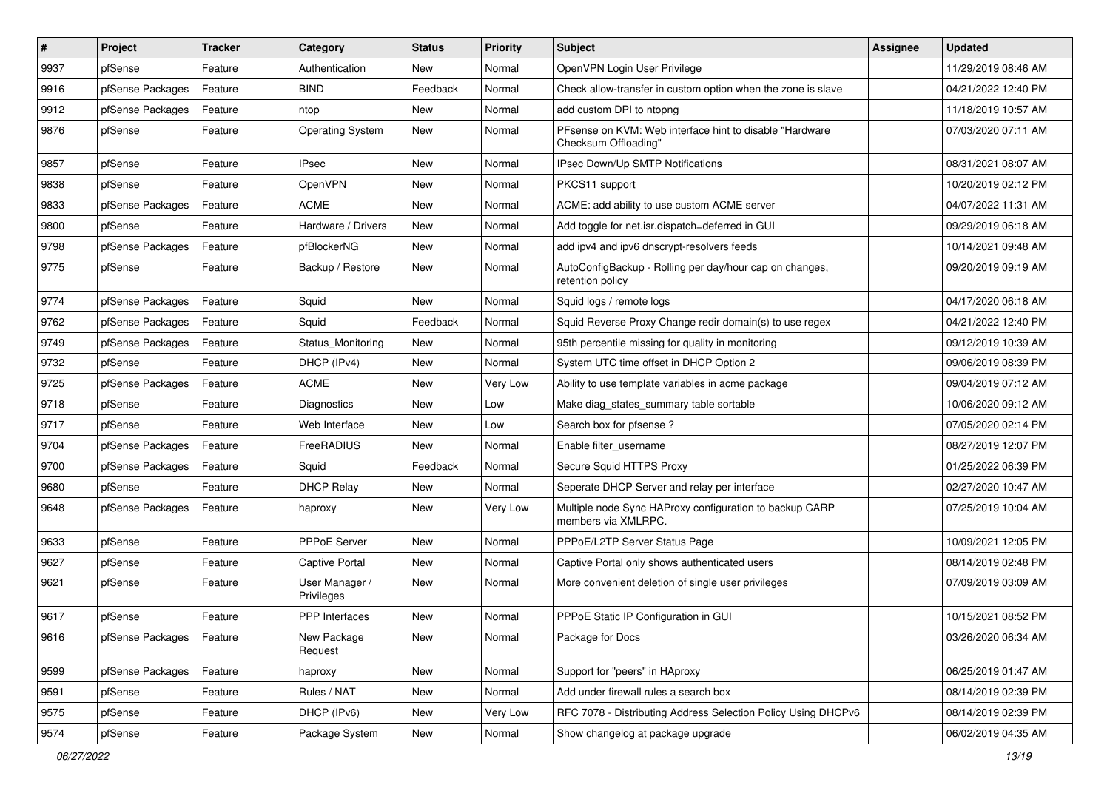| $\pmb{\#}$ | Project          | <b>Tracker</b> | Category                     | <b>Status</b> | <b>Priority</b> | <b>Subject</b>                                                                   | <b>Assignee</b> | <b>Updated</b>      |
|------------|------------------|----------------|------------------------------|---------------|-----------------|----------------------------------------------------------------------------------|-----------------|---------------------|
| 9937       | pfSense          | Feature        | Authentication               | New           | Normal          | OpenVPN Login User Privilege                                                     |                 | 11/29/2019 08:46 AM |
| 9916       | pfSense Packages | Feature        | <b>BIND</b>                  | Feedback      | Normal          | Check allow-transfer in custom option when the zone is slave                     |                 | 04/21/2022 12:40 PM |
| 9912       | pfSense Packages | Feature        | ntop                         | New           | Normal          | add custom DPI to ntopng                                                         |                 | 11/18/2019 10:57 AM |
| 9876       | pfSense          | Feature        | <b>Operating System</b>      | New           | Normal          | PFsense on KVM: Web interface hint to disable "Hardware"<br>Checksum Offloading" |                 | 07/03/2020 07:11 AM |
| 9857       | pfSense          | Feature        | <b>IPsec</b>                 | New           | Normal          | IPsec Down/Up SMTP Notifications                                                 |                 | 08/31/2021 08:07 AM |
| 9838       | pfSense          | Feature        | OpenVPN                      | New           | Normal          | PKCS11 support                                                                   |                 | 10/20/2019 02:12 PM |
| 9833       | pfSense Packages | Feature        | <b>ACME</b>                  | New           | Normal          | ACME: add ability to use custom ACME server                                      |                 | 04/07/2022 11:31 AM |
| 9800       | pfSense          | Feature        | Hardware / Drivers           | New           | Normal          | Add toggle for net.isr.dispatch=deferred in GUI                                  |                 | 09/29/2019 06:18 AM |
| 9798       | pfSense Packages | Feature        | pfBlockerNG                  | New           | Normal          | add ipv4 and ipv6 dnscrypt-resolvers feeds                                       |                 | 10/14/2021 09:48 AM |
| 9775       | pfSense          | Feature        | Backup / Restore             | New           | Normal          | AutoConfigBackup - Rolling per day/hour cap on changes,<br>retention policy      |                 | 09/20/2019 09:19 AM |
| 9774       | pfSense Packages | Feature        | Squid                        | New           | Normal          | Squid logs / remote logs                                                         |                 | 04/17/2020 06:18 AM |
| 9762       | pfSense Packages | Feature        | Squid                        | Feedback      | Normal          | Squid Reverse Proxy Change redir domain(s) to use regex                          |                 | 04/21/2022 12:40 PM |
| 9749       | pfSense Packages | Feature        | Status Monitoring            | New           | Normal          | 95th percentile missing for quality in monitoring                                |                 | 09/12/2019 10:39 AM |
| 9732       | pfSense          | Feature        | DHCP (IPv4)                  | New           | Normal          | System UTC time offset in DHCP Option 2                                          |                 | 09/06/2019 08:39 PM |
| 9725       | pfSense Packages | Feature        | <b>ACME</b>                  | New           | Very Low        | Ability to use template variables in acme package                                |                 | 09/04/2019 07:12 AM |
| 9718       | pfSense          | Feature        | Diagnostics                  | New           | Low             | Make diag states summary table sortable                                          |                 | 10/06/2020 09:12 AM |
| 9717       | pfSense          | Feature        | Web Interface                | New           | Low             | Search box for pfsense?                                                          |                 | 07/05/2020 02:14 PM |
| 9704       | pfSense Packages | Feature        | FreeRADIUS                   | New           | Normal          | Enable filter username                                                           |                 | 08/27/2019 12:07 PM |
| 9700       | pfSense Packages | Feature        | Squid                        | Feedback      | Normal          | Secure Squid HTTPS Proxy                                                         |                 | 01/25/2022 06:39 PM |
| 9680       | pfSense          | Feature        | <b>DHCP Relay</b>            | New           | Normal          | Seperate DHCP Server and relay per interface                                     |                 | 02/27/2020 10:47 AM |
| 9648       | pfSense Packages | Feature        | haproxy                      | New           | Very Low        | Multiple node Sync HAProxy configuration to backup CARP<br>members via XMLRPC.   |                 | 07/25/2019 10:04 AM |
| 9633       | pfSense          | Feature        | PPPoE Server                 | New           | Normal          | PPPoE/L2TP Server Status Page                                                    |                 | 10/09/2021 12:05 PM |
| 9627       | pfSense          | Feature        | <b>Captive Portal</b>        | New           | Normal          | Captive Portal only shows authenticated users                                    |                 | 08/14/2019 02:48 PM |
| 9621       | pfSense          | Feature        | User Manager /<br>Privileges | New           | Normal          | More convenient deletion of single user privileges                               |                 | 07/09/2019 03:09 AM |
| 9617       | pfSense          | Feature        | <b>PPP</b> Interfaces        | New           | Normal          | PPPoE Static IP Configuration in GUI                                             |                 | 10/15/2021 08:52 PM |
| 9616       | pfSense Packages | Feature        | New Package<br>Request       | New           | Normal          | Package for Docs                                                                 |                 | 03/26/2020 06:34 AM |
| 9599       | pfSense Packages | Feature        | haproxy                      | New           | Normal          | Support for "peers" in HAproxy                                                   |                 | 06/25/2019 01:47 AM |
| 9591       | pfSense          | Feature        | Rules / NAT                  | New           | Normal          | Add under firewall rules a search box                                            |                 | 08/14/2019 02:39 PM |
| 9575       | pfSense          | Feature        | DHCP (IPv6)                  | New           | Very Low        | RFC 7078 - Distributing Address Selection Policy Using DHCPv6                    |                 | 08/14/2019 02:39 PM |
| 9574       | pfSense          | Feature        | Package System               | New           | Normal          | Show changelog at package upgrade                                                |                 | 06/02/2019 04:35 AM |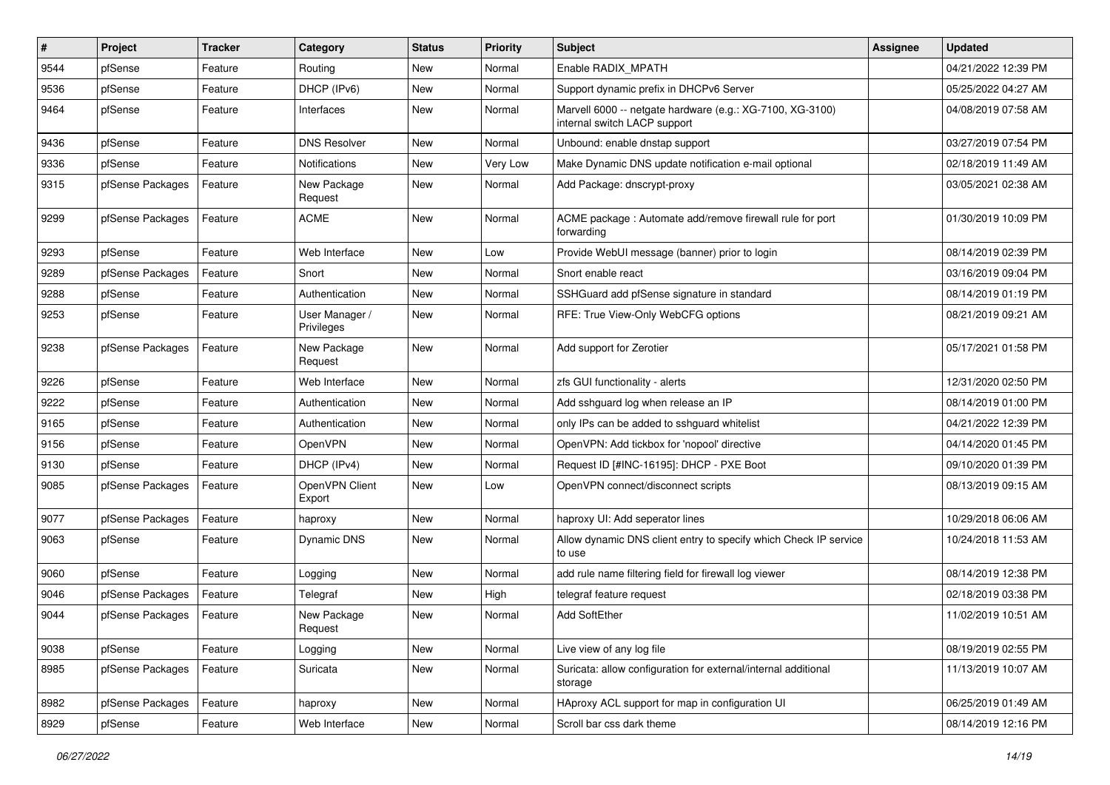| $\vert$ # | Project          | <b>Tracker</b> | Category                     | <b>Status</b> | <b>Priority</b> | Subject                                                                                   | <b>Assignee</b> | <b>Updated</b>      |
|-----------|------------------|----------------|------------------------------|---------------|-----------------|-------------------------------------------------------------------------------------------|-----------------|---------------------|
| 9544      | pfSense          | Feature        | Routing                      | New           | Normal          | Enable RADIX_MPATH                                                                        |                 | 04/21/2022 12:39 PM |
| 9536      | pfSense          | Feature        | DHCP (IPv6)                  | <b>New</b>    | Normal          | Support dynamic prefix in DHCPv6 Server                                                   |                 | 05/25/2022 04:27 AM |
| 9464      | pfSense          | Feature        | Interfaces                   | New           | Normal          | Marvell 6000 -- netgate hardware (e.g.: XG-7100, XG-3100)<br>internal switch LACP support |                 | 04/08/2019 07:58 AM |
| 9436      | pfSense          | Feature        | <b>DNS Resolver</b>          | New           | Normal          | Unbound: enable dnstap support                                                            |                 | 03/27/2019 07:54 PM |
| 9336      | pfSense          | Feature        | <b>Notifications</b>         | New           | Very Low        | Make Dynamic DNS update notification e-mail optional                                      |                 | 02/18/2019 11:49 AM |
| 9315      | pfSense Packages | Feature        | New Package<br>Request       | New           | Normal          | Add Package: dnscrypt-proxy                                                               |                 | 03/05/2021 02:38 AM |
| 9299      | pfSense Packages | Feature        | <b>ACME</b>                  | <b>New</b>    | Normal          | ACME package : Automate add/remove firewall rule for port<br>forwarding                   |                 | 01/30/2019 10:09 PM |
| 9293      | pfSense          | Feature        | Web Interface                | New           | Low             | Provide WebUI message (banner) prior to login                                             |                 | 08/14/2019 02:39 PM |
| 9289      | pfSense Packages | Feature        | Snort                        | New           | Normal          | Snort enable react                                                                        |                 | 03/16/2019 09:04 PM |
| 9288      | pfSense          | Feature        | Authentication               | New           | Normal          | SSHGuard add pfSense signature in standard                                                |                 | 08/14/2019 01:19 PM |
| 9253      | pfSense          | Feature        | User Manager /<br>Privileges | New           | Normal          | RFE: True View-Only WebCFG options                                                        |                 | 08/21/2019 09:21 AM |
| 9238      | pfSense Packages | Feature        | New Package<br>Request       | <b>New</b>    | Normal          | Add support for Zerotier                                                                  |                 | 05/17/2021 01:58 PM |
| 9226      | pfSense          | Feature        | Web Interface                | <b>New</b>    | Normal          | zfs GUI functionality - alerts                                                            |                 | 12/31/2020 02:50 PM |
| 9222      | pfSense          | Feature        | Authentication               | New           | Normal          | Add sshguard log when release an IP                                                       |                 | 08/14/2019 01:00 PM |
| 9165      | pfSense          | Feature        | Authentication               | New           | Normal          | only IPs can be added to sshguard whitelist                                               |                 | 04/21/2022 12:39 PM |
| 9156      | pfSense          | Feature        | OpenVPN                      | <b>New</b>    | Normal          | OpenVPN: Add tickbox for 'nopool' directive                                               |                 | 04/14/2020 01:45 PM |
| 9130      | pfSense          | Feature        | DHCP (IPv4)                  | New           | Normal          | Request ID [#INC-16195]: DHCP - PXE Boot                                                  |                 | 09/10/2020 01:39 PM |
| 9085      | pfSense Packages | Feature        | OpenVPN Client<br>Export     | New           | Low             | OpenVPN connect/disconnect scripts                                                        |                 | 08/13/2019 09:15 AM |
| 9077      | pfSense Packages | Feature        | haproxy                      | New           | Normal          | haproxy UI: Add seperator lines                                                           |                 | 10/29/2018 06:06 AM |
| 9063      | pfSense          | Feature        | Dynamic DNS                  | New           | Normal          | Allow dynamic DNS client entry to specify which Check IP service<br>to use                |                 | 10/24/2018 11:53 AM |
| 9060      | pfSense          | Feature        | Logging                      | <b>New</b>    | Normal          | add rule name filtering field for firewall log viewer                                     |                 | 08/14/2019 12:38 PM |
| 9046      | pfSense Packages | Feature        | Telegraf                     | New           | High            | telegraf feature request                                                                  |                 | 02/18/2019 03:38 PM |
| 9044      | pfSense Packages | Feature        | New Package<br>Request       | New           | Normal          | <b>Add SoftEther</b>                                                                      |                 | 11/02/2019 10:51 AM |
| 9038      | pfSense          | Feature        | Logging                      | New           | Normal          | Live view of any log file                                                                 |                 | 08/19/2019 02:55 PM |
| 8985      | pfSense Packages | Feature        | Suricata                     | New           | Normal          | Suricata: allow configuration for external/internal additional<br>storage                 |                 | 11/13/2019 10:07 AM |
| 8982      | pfSense Packages | Feature        | haproxy                      | <b>New</b>    | Normal          | HAproxy ACL support for map in configuration UI                                           |                 | 06/25/2019 01:49 AM |
| 8929      | pfSense          | Feature        | Web Interface                | New           | Normal          | Scroll bar css dark theme                                                                 |                 | 08/14/2019 12:16 PM |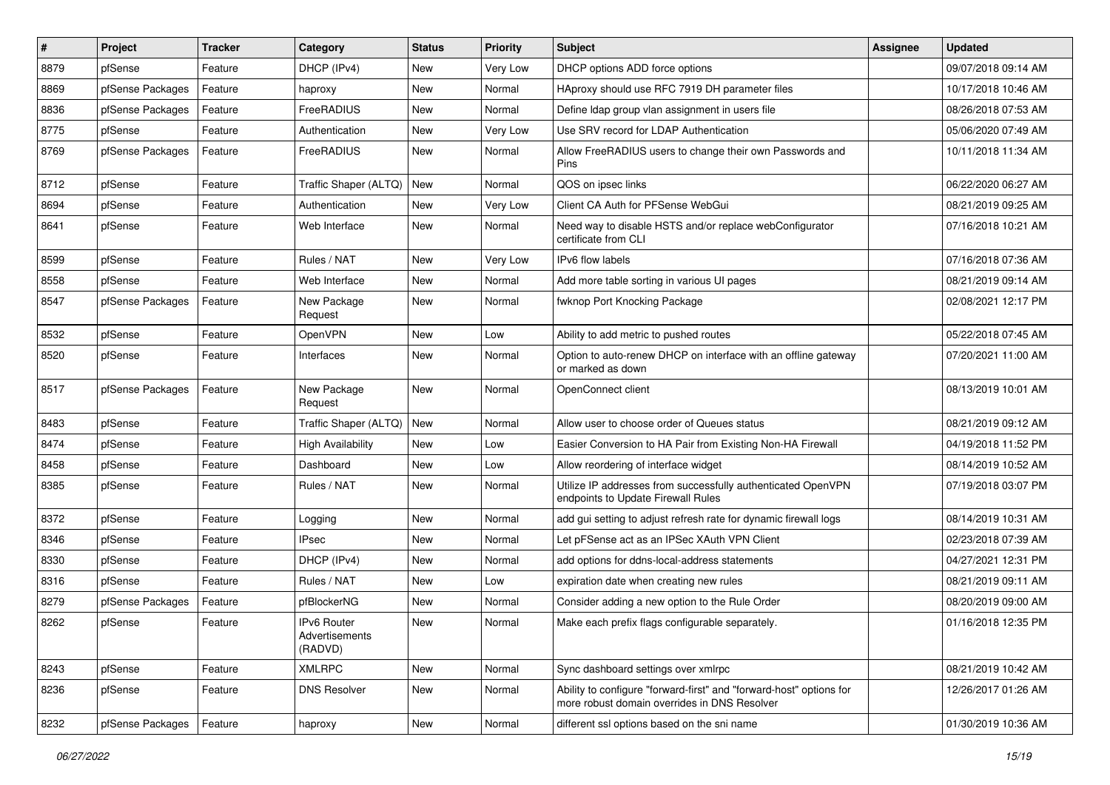| #    | Project          | <b>Tracker</b> | Category                                 | <b>Status</b> | <b>Priority</b> | <b>Subject</b>                                                                                                      | <b>Assignee</b> | <b>Updated</b>      |
|------|------------------|----------------|------------------------------------------|---------------|-----------------|---------------------------------------------------------------------------------------------------------------------|-----------------|---------------------|
| 8879 | pfSense          | Feature        | DHCP (IPv4)                              | New           | Very Low        | DHCP options ADD force options                                                                                      |                 | 09/07/2018 09:14 AM |
| 8869 | pfSense Packages | Feature        | haproxy                                  | New           | Normal          | HAproxy should use RFC 7919 DH parameter files                                                                      |                 | 10/17/2018 10:46 AM |
| 8836 | pfSense Packages | Feature        | FreeRADIUS                               | New           | Normal          | Define Idap group vlan assignment in users file                                                                     |                 | 08/26/2018 07:53 AM |
| 8775 | pfSense          | Feature        | Authentication                           | New           | Very Low        | Use SRV record for LDAP Authentication                                                                              |                 | 05/06/2020 07:49 AM |
| 8769 | pfSense Packages | Feature        | FreeRADIUS                               | New           | Normal          | Allow FreeRADIUS users to change their own Passwords and<br><b>Pins</b>                                             |                 | 10/11/2018 11:34 AM |
| 8712 | pfSense          | Feature        | Traffic Shaper (ALTQ)                    | <b>New</b>    | Normal          | QOS on ipsec links                                                                                                  |                 | 06/22/2020 06:27 AM |
| 8694 | pfSense          | Feature        | Authentication                           | New           | Very Low        | Client CA Auth for PFSense WebGui                                                                                   |                 | 08/21/2019 09:25 AM |
| 8641 | pfSense          | Feature        | Web Interface                            | New           | Normal          | Need way to disable HSTS and/or replace webConfigurator<br>certificate from CLI                                     |                 | 07/16/2018 10:21 AM |
| 8599 | pfSense          | Feature        | Rules / NAT                              | New           | Very Low        | IPv6 flow labels                                                                                                    |                 | 07/16/2018 07:36 AM |
| 8558 | pfSense          | Feature        | Web Interface                            | New           | Normal          | Add more table sorting in various UI pages                                                                          |                 | 08/21/2019 09:14 AM |
| 8547 | pfSense Packages | Feature        | New Package<br>Request                   | New           | Normal          | fwknop Port Knocking Package                                                                                        |                 | 02/08/2021 12:17 PM |
| 8532 | pfSense          | Feature        | OpenVPN                                  | New           | Low             | Ability to add metric to pushed routes                                                                              |                 | 05/22/2018 07:45 AM |
| 8520 | pfSense          | Feature        | Interfaces                               | New           | Normal          | Option to auto-renew DHCP on interface with an offline gateway<br>or marked as down                                 |                 | 07/20/2021 11:00 AM |
| 8517 | pfSense Packages | Feature        | New Package<br>Request                   | New           | Normal          | OpenConnect client                                                                                                  |                 | 08/13/2019 10:01 AM |
| 8483 | pfSense          | Feature        | Traffic Shaper (ALTQ)                    | <b>New</b>    | Normal          | Allow user to choose order of Queues status                                                                         |                 | 08/21/2019 09:12 AM |
| 8474 | pfSense          | Feature        | <b>High Availability</b>                 | New           | Low             | Easier Conversion to HA Pair from Existing Non-HA Firewall                                                          |                 | 04/19/2018 11:52 PM |
| 8458 | pfSense          | Feature        | Dashboard                                | New           | Low             | Allow reordering of interface widget                                                                                |                 | 08/14/2019 10:52 AM |
| 8385 | pfSense          | Feature        | Rules / NAT                              | New           | Normal          | Utilize IP addresses from successfully authenticated OpenVPN<br>endpoints to Update Firewall Rules                  |                 | 07/19/2018 03:07 PM |
| 8372 | pfSense          | Feature        | Logging                                  | New           | Normal          | add gui setting to adjust refresh rate for dynamic firewall logs                                                    |                 | 08/14/2019 10:31 AM |
| 8346 | pfSense          | Feature        | <b>IPsec</b>                             | <b>New</b>    | Normal          | Let pFSense act as an IPSec XAuth VPN Client                                                                        |                 | 02/23/2018 07:39 AM |
| 8330 | pfSense          | Feature        | DHCP (IPv4)                              | New           | Normal          | add options for ddns-local-address statements                                                                       |                 | 04/27/2021 12:31 PM |
| 8316 | pfSense          | Feature        | Rules / NAT                              | New           | Low             | expiration date when creating new rules                                                                             |                 | 08/21/2019 09:11 AM |
| 8279 | pfSense Packages | Feature        | pfBlockerNG                              | <b>New</b>    | Normal          | Consider adding a new option to the Rule Order                                                                      |                 | 08/20/2019 09:00 AM |
| 8262 | pfSense          | Feature        | IPv6 Router<br>Advertisements<br>(RADVD) | New           | Normal          | Make each prefix flags configurable separately.                                                                     |                 | 01/16/2018 12:35 PM |
| 8243 | pfSense          | Feature        | <b>XMLRPC</b>                            | New           | Normal          | Sync dashboard settings over xmlrpc                                                                                 |                 | 08/21/2019 10:42 AM |
| 8236 | pfSense          | Feature        | <b>DNS Resolver</b>                      | New           | Normal          | Ability to configure "forward-first" and "forward-host" options for<br>more robust domain overrides in DNS Resolver |                 | 12/26/2017 01:26 AM |
| 8232 | pfSense Packages | Feature        | haproxy                                  | New           | Normal          | different ssl options based on the sni name                                                                         |                 | 01/30/2019 10:36 AM |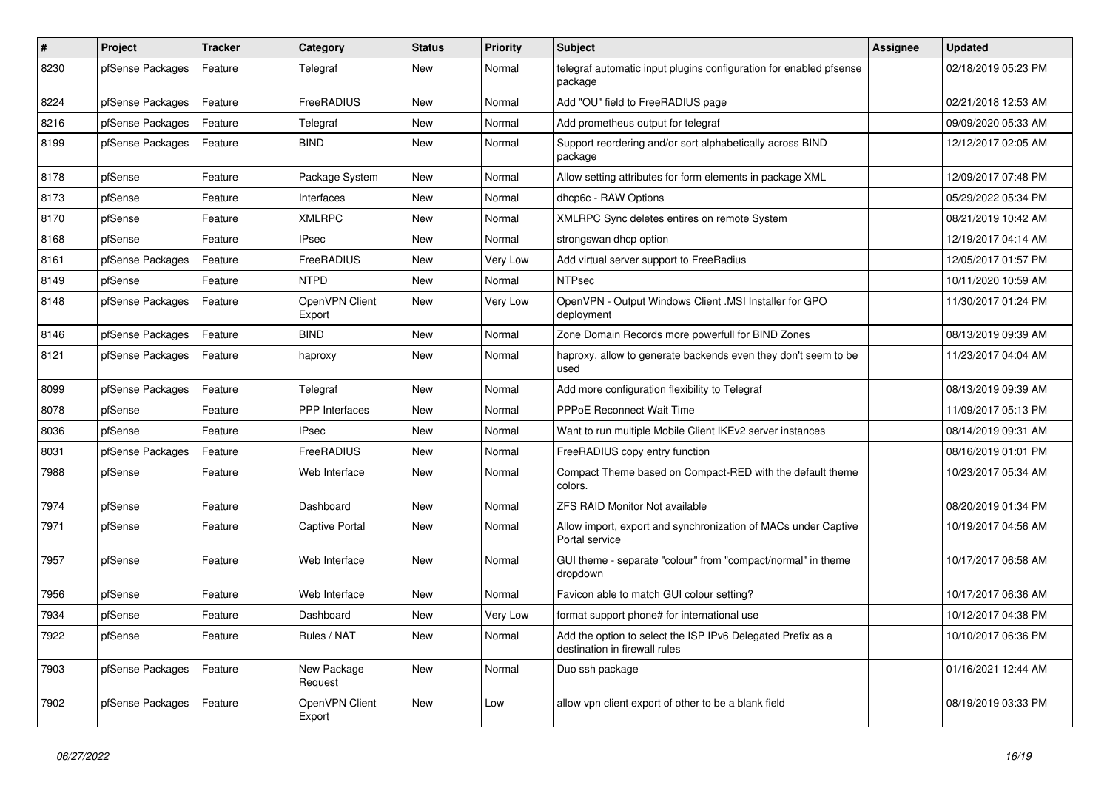| $\sharp$ | Project          | <b>Tracker</b> | Category                 | <b>Status</b> | <b>Priority</b> | <b>Subject</b>                                                                               | <b>Assignee</b> | <b>Updated</b>      |
|----------|------------------|----------------|--------------------------|---------------|-----------------|----------------------------------------------------------------------------------------------|-----------------|---------------------|
| 8230     | pfSense Packages | Feature        | Telegraf                 | <b>New</b>    | Normal          | telegraf automatic input plugins configuration for enabled pfsense<br>package                |                 | 02/18/2019 05:23 PM |
| 8224     | pfSense Packages | Feature        | FreeRADIUS               | New           | Normal          | Add "OU" field to FreeRADIUS page                                                            |                 | 02/21/2018 12:53 AM |
| 8216     | pfSense Packages | Feature        | Telegraf                 | New           | Normal          | Add prometheus output for telegraf                                                           |                 | 09/09/2020 05:33 AM |
| 8199     | pfSense Packages | Feature        | <b>BIND</b>              | New           | Normal          | Support reordering and/or sort alphabetically across BIND<br>package                         |                 | 12/12/2017 02:05 AM |
| 8178     | pfSense          | Feature        | Package System           | <b>New</b>    | Normal          | Allow setting attributes for form elements in package XML                                    |                 | 12/09/2017 07:48 PM |
| 8173     | pfSense          | Feature        | Interfaces               | <b>New</b>    | Normal          | dhcp6c - RAW Options                                                                         |                 | 05/29/2022 05:34 PM |
| 8170     | pfSense          | Feature        | <b>XMLRPC</b>            | <b>New</b>    | Normal          | XMLRPC Sync deletes entires on remote System                                                 |                 | 08/21/2019 10:42 AM |
| 8168     | pfSense          | Feature        | <b>IPsec</b>             | <b>New</b>    | Normal          | strongswan dhcp option                                                                       |                 | 12/19/2017 04:14 AM |
| 8161     | pfSense Packages | Feature        | <b>FreeRADIUS</b>        | <b>New</b>    | Very Low        | Add virtual server support to FreeRadius                                                     |                 | 12/05/2017 01:57 PM |
| 8149     | pfSense          | Feature        | <b>NTPD</b>              | <b>New</b>    | Normal          | <b>NTPsec</b>                                                                                |                 | 10/11/2020 10:59 AM |
| 8148     | pfSense Packages | Feature        | OpenVPN Client<br>Export | New           | Very Low        | OpenVPN - Output Windows Client .MSI Installer for GPO<br>deployment                         |                 | 11/30/2017 01:24 PM |
| 8146     | pfSense Packages | Feature        | <b>BIND</b>              | New           | Normal          | Zone Domain Records more powerfull for BIND Zones                                            |                 | 08/13/2019 09:39 AM |
| 8121     | pfSense Packages | Feature        | haproxy                  | New           | Normal          | haproxy, allow to generate backends even they don't seem to be<br>used                       |                 | 11/23/2017 04:04 AM |
| 8099     | pfSense Packages | Feature        | Telegraf                 | <b>New</b>    | Normal          | Add more configuration flexibility to Telegraf                                               |                 | 08/13/2019 09:39 AM |
| 8078     | pfSense          | Feature        | PPP Interfaces           | New           | Normal          | PPPoE Reconnect Wait Time                                                                    |                 | 11/09/2017 05:13 PM |
| 8036     | pfSense          | Feature        | <b>IPsec</b>             | New           | Normal          | Want to run multiple Mobile Client IKEv2 server instances                                    |                 | 08/14/2019 09:31 AM |
| 8031     | pfSense Packages | Feature        | FreeRADIUS               | <b>New</b>    | Normal          | FreeRADIUS copy entry function                                                               |                 | 08/16/2019 01:01 PM |
| 7988     | pfSense          | Feature        | Web Interface            | New           | Normal          | Compact Theme based on Compact-RED with the default theme<br>colors.                         |                 | 10/23/2017 05:34 AM |
| 7974     | pfSense          | Feature        | Dashboard                | <b>New</b>    | Normal          | <b>ZFS RAID Monitor Not available</b>                                                        |                 | 08/20/2019 01:34 PM |
| 7971     | pfSense          | Feature        | Captive Portal           | <b>New</b>    | Normal          | Allow import, export and synchronization of MACs under Captive<br>Portal service             |                 | 10/19/2017 04:56 AM |
| 7957     | pfSense          | Feature        | Web Interface            | New           | Normal          | GUI theme - separate "colour" from "compact/normal" in theme<br>dropdown                     |                 | 10/17/2017 06:58 AM |
| 7956     | pfSense          | Feature        | Web Interface            | <b>New</b>    | Normal          | Favicon able to match GUI colour setting?                                                    |                 | 10/17/2017 06:36 AM |
| 7934     | pfSense          | Feature        | Dashboard                | <b>New</b>    | Very Low        | format support phone# for international use                                                  |                 | 10/12/2017 04:38 PM |
| 7922     | pfSense          | Feature        | Rules / NAT              | <b>New</b>    | Normal          | Add the option to select the ISP IPv6 Delegated Prefix as a<br>destination in firewall rules |                 | 10/10/2017 06:36 PM |
| 7903     | pfSense Packages | Feature        | New Package<br>Request   | <b>New</b>    | Normal          | Duo ssh package                                                                              |                 | 01/16/2021 12:44 AM |
| 7902     | pfSense Packages | Feature        | OpenVPN Client<br>Export | New           | Low             | allow vpn client export of other to be a blank field                                         |                 | 08/19/2019 03:33 PM |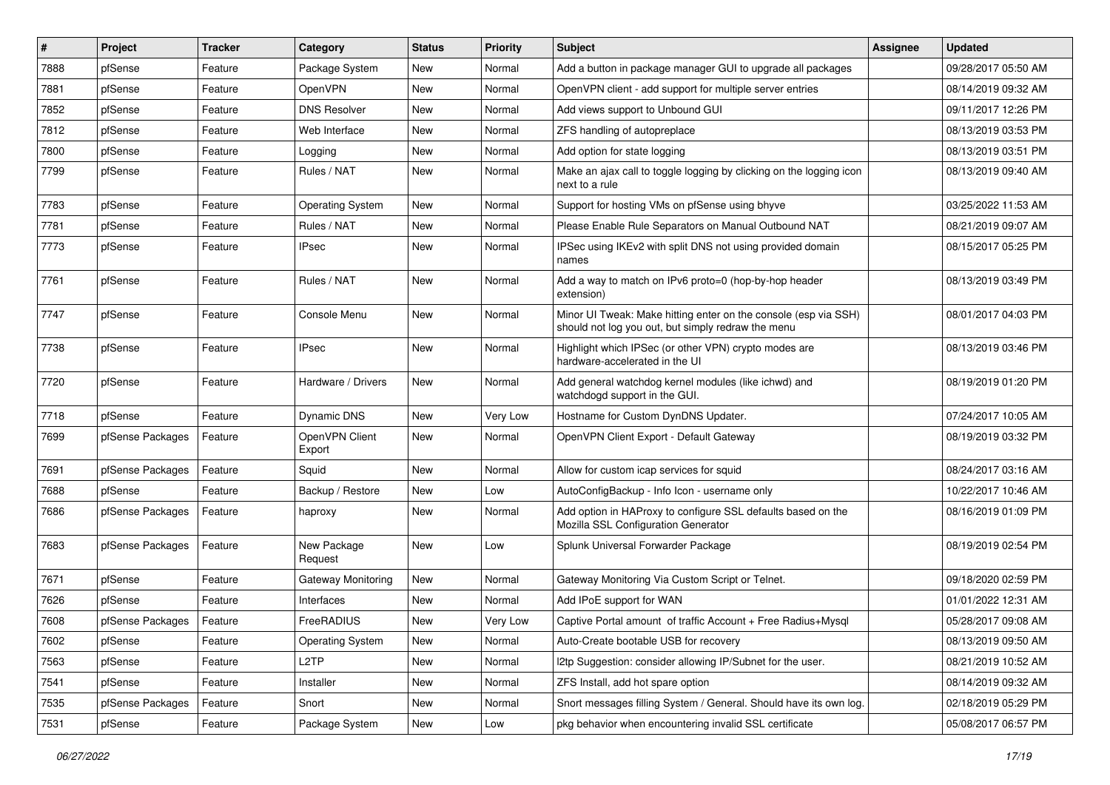| $\vert$ # | Project          | <b>Tracker</b> | Category                 | <b>Status</b> | Priority | <b>Subject</b>                                                                                                        | <b>Assignee</b> | <b>Updated</b>      |
|-----------|------------------|----------------|--------------------------|---------------|----------|-----------------------------------------------------------------------------------------------------------------------|-----------------|---------------------|
| 7888      | pfSense          | Feature        | Package System           | New           | Normal   | Add a button in package manager GUI to upgrade all packages                                                           |                 | 09/28/2017 05:50 AM |
| 7881      | pfSense          | Feature        | OpenVPN                  | <b>New</b>    | Normal   | OpenVPN client - add support for multiple server entries                                                              |                 | 08/14/2019 09:32 AM |
| 7852      | pfSense          | Feature        | <b>DNS Resolver</b>      | New           | Normal   | Add views support to Unbound GUI                                                                                      |                 | 09/11/2017 12:26 PM |
| 7812      | pfSense          | Feature        | Web Interface            | New           | Normal   | ZFS handling of autopreplace                                                                                          |                 | 08/13/2019 03:53 PM |
| 7800      | pfSense          | Feature        | Logging                  | <b>New</b>    | Normal   | Add option for state logging                                                                                          |                 | 08/13/2019 03:51 PM |
| 7799      | pfSense          | Feature        | Rules / NAT              | New           | Normal   | Make an ajax call to toggle logging by clicking on the logging icon<br>next to a rule                                 |                 | 08/13/2019 09:40 AM |
| 7783      | pfSense          | Feature        | <b>Operating System</b>  | New           | Normal   | Support for hosting VMs on pfSense using bhyve                                                                        |                 | 03/25/2022 11:53 AM |
| 7781      | pfSense          | Feature        | Rules / NAT              | New           | Normal   | Please Enable Rule Separators on Manual Outbound NAT                                                                  |                 | 08/21/2019 09:07 AM |
| 7773      | pfSense          | Feature        | <b>IPsec</b>             | New           | Normal   | IPSec using IKEv2 with split DNS not using provided domain<br>names                                                   |                 | 08/15/2017 05:25 PM |
| 7761      | pfSense          | Feature        | Rules / NAT              | New           | Normal   | Add a way to match on IPv6 proto=0 (hop-by-hop header<br>extension)                                                   |                 | 08/13/2019 03:49 PM |
| 7747      | pfSense          | Feature        | Console Menu             | <b>New</b>    | Normal   | Minor UI Tweak: Make hitting enter on the console (esp via SSH)<br>should not log you out, but simply redraw the menu |                 | 08/01/2017 04:03 PM |
| 7738      | pfSense          | Feature        | <b>IPsec</b>             | <b>New</b>    | Normal   | Highlight which IPSec (or other VPN) crypto modes are<br>hardware-accelerated in the UI                               |                 | 08/13/2019 03:46 PM |
| 7720      | pfSense          | Feature        | Hardware / Drivers       | New           | Normal   | Add general watchdog kernel modules (like ichwd) and<br>watchdogd support in the GUI.                                 |                 | 08/19/2019 01:20 PM |
| 7718      | pfSense          | Feature        | Dynamic DNS              | <b>New</b>    | Very Low | Hostname for Custom DynDNS Updater.                                                                                   |                 | 07/24/2017 10:05 AM |
| 7699      | pfSense Packages | Feature        | OpenVPN Client<br>Export | New           | Normal   | OpenVPN Client Export - Default Gateway                                                                               |                 | 08/19/2019 03:32 PM |
| 7691      | pfSense Packages | Feature        | Squid                    | <b>New</b>    | Normal   | Allow for custom icap services for squid                                                                              |                 | 08/24/2017 03:16 AM |
| 7688      | pfSense          | Feature        | Backup / Restore         | <b>New</b>    | Low      | AutoConfigBackup - Info Icon - username only                                                                          |                 | 10/22/2017 10:46 AM |
| 7686      | pfSense Packages | Feature        | haproxy                  | New           | Normal   | Add option in HAProxy to configure SSL defaults based on the<br>Mozilla SSL Configuration Generator                   |                 | 08/16/2019 01:09 PM |
| 7683      | pfSense Packages | Feature        | New Package<br>Request   | <b>New</b>    | Low      | Splunk Universal Forwarder Package                                                                                    |                 | 08/19/2019 02:54 PM |
| 7671      | pfSense          | Feature        | Gateway Monitoring       | New           | Normal   | Gateway Monitoring Via Custom Script or Telnet.                                                                       |                 | 09/18/2020 02:59 PM |
| 7626      | pfSense          | Feature        | Interfaces               | New           | Normal   | Add IPoE support for WAN                                                                                              |                 | 01/01/2022 12:31 AM |
| 7608      | pfSense Packages | Feature        | FreeRADIUS               | New           | Very Low | Captive Portal amount of traffic Account + Free Radius+Mysql                                                          |                 | 05/28/2017 09:08 AM |
| 7602      | pfSense          | Feature        | <b>Operating System</b>  | New           | Normal   | Auto-Create bootable USB for recovery                                                                                 |                 | 08/13/2019 09:50 AM |
| 7563      | pfSense          | Feature        | L <sub>2</sub> TP        | New           | Normal   | I2tp Suggestion: consider allowing IP/Subnet for the user.                                                            |                 | 08/21/2019 10:52 AM |
| 7541      | pfSense          | Feature        | Installer                | New           | Normal   | ZFS Install, add hot spare option                                                                                     |                 | 08/14/2019 09:32 AM |
| 7535      | pfSense Packages | Feature        | Snort                    | New           | Normal   | Snort messages filling System / General. Should have its own log.                                                     |                 | 02/18/2019 05:29 PM |
| 7531      | pfSense          | Feature        | Package System           | New           | Low      | pkg behavior when encountering invalid SSL certificate                                                                |                 | 05/08/2017 06:57 PM |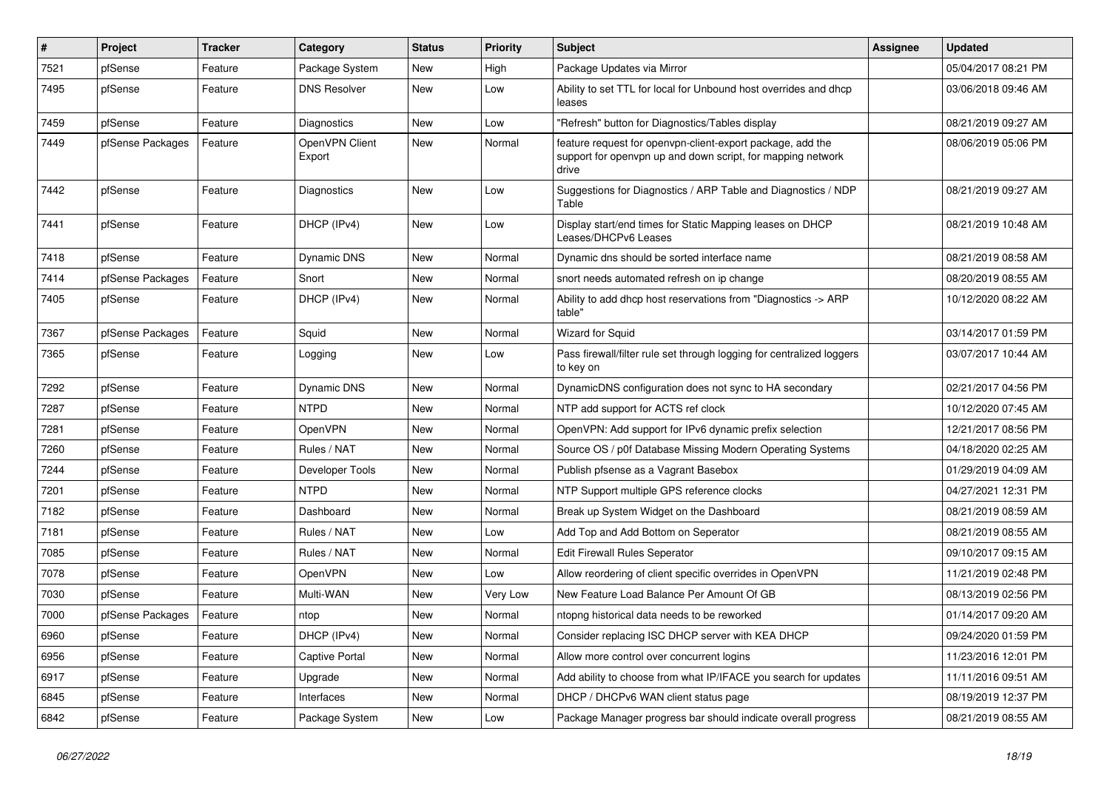| #    | Project          | <b>Tracker</b> | Category                 | <b>Status</b> | <b>Priority</b> | <b>Subject</b>                                                                                                                     | <b>Assignee</b> | <b>Updated</b>      |
|------|------------------|----------------|--------------------------|---------------|-----------------|------------------------------------------------------------------------------------------------------------------------------------|-----------------|---------------------|
| 7521 | pfSense          | Feature        | Package System           | New           | High            | Package Updates via Mirror                                                                                                         |                 | 05/04/2017 08:21 PM |
| 7495 | pfSense          | Feature        | <b>DNS Resolver</b>      | New           | Low             | Ability to set TTL for local for Unbound host overrides and dhcp<br>leases                                                         |                 | 03/06/2018 09:46 AM |
| 7459 | pfSense          | Feature        | Diagnostics              | New           | Low             | "Refresh" button for Diagnostics/Tables display                                                                                    |                 | 08/21/2019 09:27 AM |
| 7449 | pfSense Packages | Feature        | OpenVPN Client<br>Export | New           | Normal          | feature request for openvpn-client-export package, add the<br>support for openvpn up and down script, for mapping network<br>drive |                 | 08/06/2019 05:06 PM |
| 7442 | pfSense          | Feature        | Diagnostics              | New           | Low             | Suggestions for Diagnostics / ARP Table and Diagnostics / NDP<br>Table                                                             |                 | 08/21/2019 09:27 AM |
| 7441 | pfSense          | Feature        | DHCP (IPv4)              | New           | Low             | Display start/end times for Static Mapping leases on DHCP<br>Leases/DHCPv6 Leases                                                  |                 | 08/21/2019 10:48 AM |
| 7418 | pfSense          | Feature        | Dynamic DNS              | New           | Normal          | Dynamic dns should be sorted interface name                                                                                        |                 | 08/21/2019 08:58 AM |
| 7414 | pfSense Packages | Feature        | Snort                    | New           | Normal          | snort needs automated refresh on ip change                                                                                         |                 | 08/20/2019 08:55 AM |
| 7405 | pfSense          | Feature        | DHCP (IPv4)              | New           | Normal          | Ability to add dhcp host reservations from "Diagnostics -> ARP<br>table"                                                           |                 | 10/12/2020 08:22 AM |
| 7367 | pfSense Packages | Feature        | Squid                    | New           | Normal          | Wizard for Squid                                                                                                                   |                 | 03/14/2017 01:59 PM |
| 7365 | pfSense          | Feature        | Logging                  | New           | Low             | Pass firewall/filter rule set through logging for centralized loggers<br>to key on                                                 |                 | 03/07/2017 10:44 AM |
| 7292 | pfSense          | Feature        | <b>Dynamic DNS</b>       | <b>New</b>    | Normal          | DynamicDNS configuration does not sync to HA secondary                                                                             |                 | 02/21/2017 04:56 PM |
| 7287 | pfSense          | Feature        | <b>NTPD</b>              | New           | Normal          | NTP add support for ACTS ref clock                                                                                                 |                 | 10/12/2020 07:45 AM |
| 7281 | pfSense          | Feature        | OpenVPN                  | <b>New</b>    | Normal          | OpenVPN: Add support for IPv6 dynamic prefix selection                                                                             |                 | 12/21/2017 08:56 PM |
| 7260 | pfSense          | Feature        | Rules / NAT              | New           | Normal          | Source OS / p0f Database Missing Modern Operating Systems                                                                          |                 | 04/18/2020 02:25 AM |
| 7244 | pfSense          | Feature        | Developer Tools          | New           | Normal          | Publish pfsense as a Vagrant Basebox                                                                                               |                 | 01/29/2019 04:09 AM |
| 7201 | pfSense          | Feature        | <b>NTPD</b>              | <b>New</b>    | Normal          | NTP Support multiple GPS reference clocks                                                                                          |                 | 04/27/2021 12:31 PM |
| 7182 | pfSense          | Feature        | Dashboard                | New           | Normal          | Break up System Widget on the Dashboard                                                                                            |                 | 08/21/2019 08:59 AM |
| 7181 | pfSense          | Feature        | Rules / NAT              | New           | Low             | Add Top and Add Bottom on Seperator                                                                                                |                 | 08/21/2019 08:55 AM |
| 7085 | pfSense          | Feature        | Rules / NAT              | <b>New</b>    | Normal          | Edit Firewall Rules Seperator                                                                                                      |                 | 09/10/2017 09:15 AM |
| 7078 | pfSense          | Feature        | OpenVPN                  | <b>New</b>    | Low             | Allow reordering of client specific overrides in OpenVPN                                                                           |                 | 11/21/2019 02:48 PM |
| 7030 | pfSense          | Feature        | Multi-WAN                | New           | Very Low        | New Feature Load Balance Per Amount Of GB                                                                                          |                 | 08/13/2019 02:56 PM |
| 7000 | pfSense Packages | Feature        | ntop                     | New           | Normal          | ntopng historical data needs to be reworked                                                                                        |                 | 01/14/2017 09:20 AM |
| 6960 | pfSense          | Feature        | DHCP (IPv4)              | New           | Normal          | Consider replacing ISC DHCP server with KEA DHCP                                                                                   |                 | 09/24/2020 01:59 PM |
| 6956 | pfSense          | Feature        | <b>Captive Portal</b>    | New           | Normal          | Allow more control over concurrent logins                                                                                          |                 | 11/23/2016 12:01 PM |
| 6917 | pfSense          | Feature        | Upgrade                  | New           | Normal          | Add ability to choose from what IP/IFACE you search for updates                                                                    |                 | 11/11/2016 09:51 AM |
| 6845 | pfSense          | Feature        | Interfaces               | New           | Normal          | DHCP / DHCPv6 WAN client status page                                                                                               |                 | 08/19/2019 12:37 PM |
| 6842 | pfSense          | Feature        | Package System           | New           | Low             | Package Manager progress bar should indicate overall progress                                                                      |                 | 08/21/2019 08:55 AM |